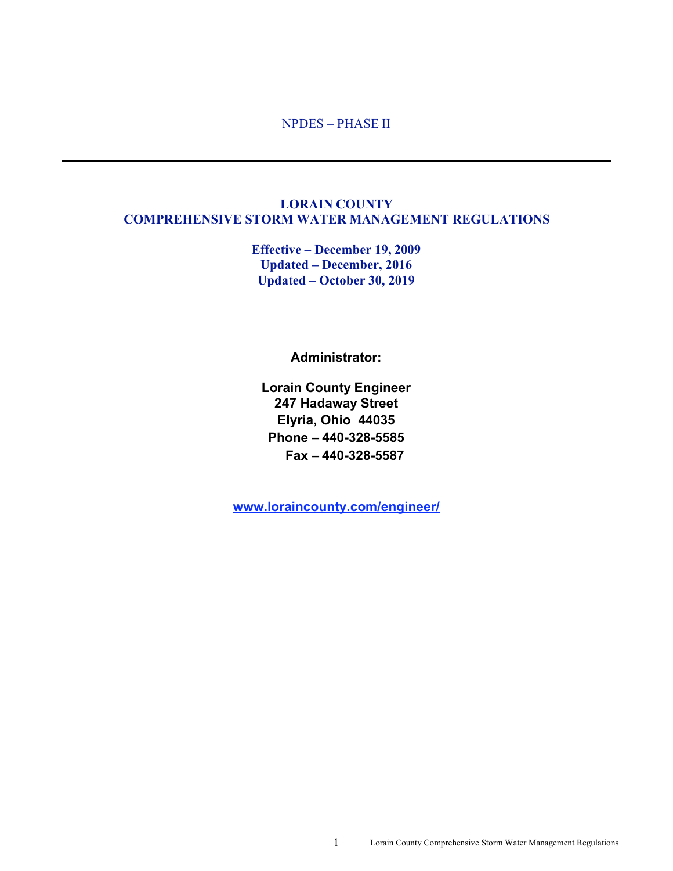#### NPDES – PHASE II

#### **LORAIN COUNTY COMPREHENSIVE STORM WATER MANAGEMENT REGULATIONS**

**Effective – December 19, 2009 Updated – December, 2016 Updated – October 30, 2019** 

**Administrator:**

**Lorain County Engineer 247 Hadaway Street Elyria, Ohio 44035 Phone – 440-328-5585 Fax – 440-328-5587**

**www.loraincounty.com/engineer/**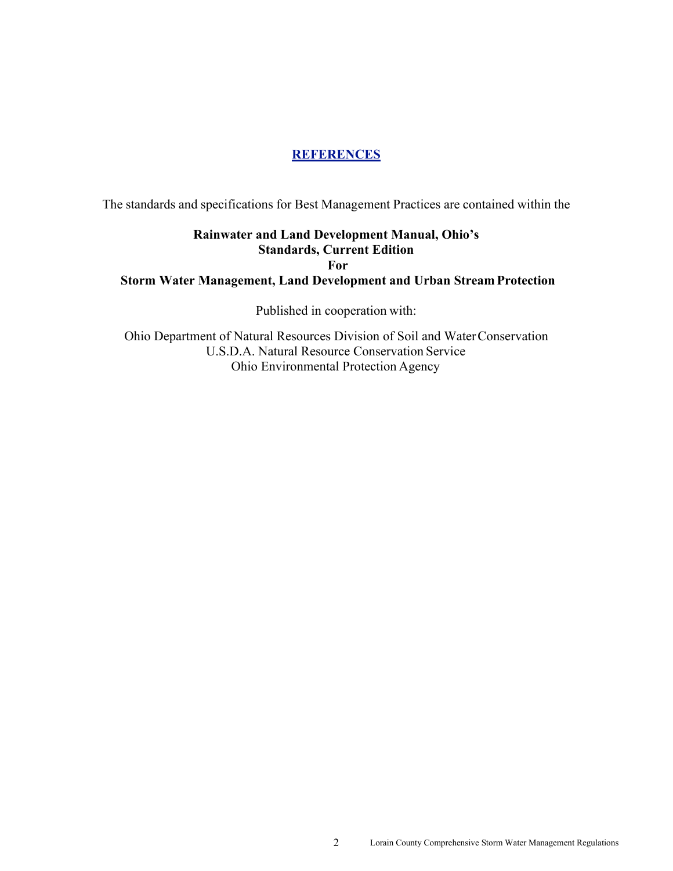#### **REFERENCES**

The standards and specifications for Best Management Practices are contained within the

## **Rainwater and Land Development Manual, Ohio's Standards, Current Edition For Storm Water Management, Land Development and Urban Stream Protection**

Published in cooperation with:

Ohio Department of Natural Resources Division of Soil and Water Conservation U.S.D.A. Natural Resource Conservation Service Ohio Environmental Protection Agency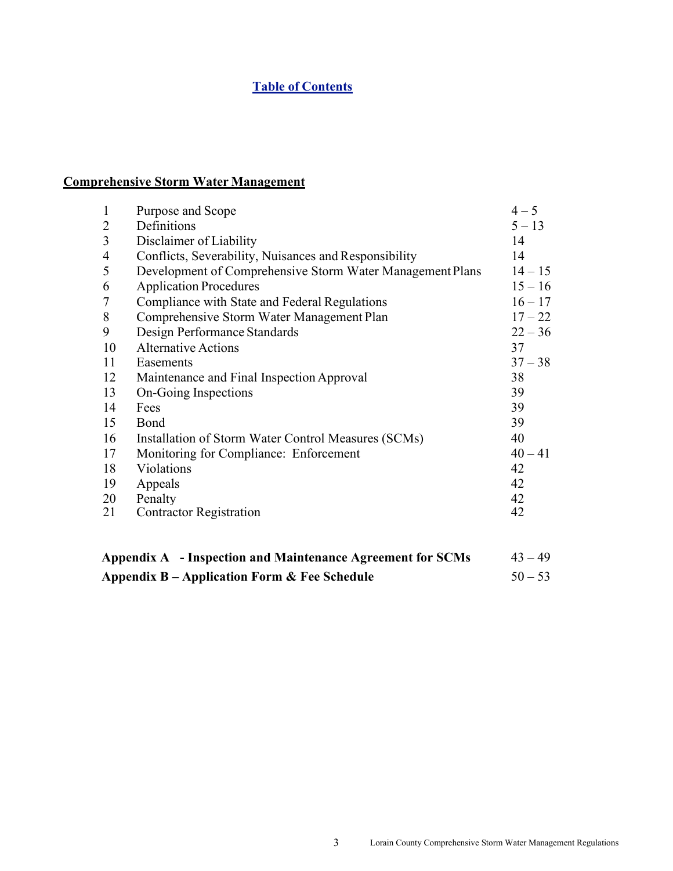## **Table of Contents**

## **Comprehensive Storm Water Management**

| 1              | Purpose and Scope                                                       | $4 - 5$   |  |  |  |  |
|----------------|-------------------------------------------------------------------------|-----------|--|--|--|--|
| 2              | Definitions                                                             | $5 - 13$  |  |  |  |  |
| 3              | Disclaimer of Liability                                                 | 14        |  |  |  |  |
| $\overline{4}$ | Conflicts, Severability, Nuisances and Responsibility                   | 14        |  |  |  |  |
| 5              | Development of Comprehensive Storm Water Management Plans               | $14 - 15$ |  |  |  |  |
| 6              | <b>Application Procedures</b>                                           | $15 - 16$ |  |  |  |  |
| 7              | Compliance with State and Federal Regulations                           | $16 - 17$ |  |  |  |  |
| 8              | Comprehensive Storm Water Management Plan                               | $17 - 22$ |  |  |  |  |
| 9              | Design Performance Standards                                            | $22 - 36$ |  |  |  |  |
| 10             | <b>Alternative Actions</b>                                              | 37        |  |  |  |  |
| 11             | Easements                                                               | $37 - 38$ |  |  |  |  |
| 12             | Maintenance and Final Inspection Approval                               | 38        |  |  |  |  |
| 13             | On-Going Inspections                                                    | 39        |  |  |  |  |
| 14             | Fees                                                                    | 39        |  |  |  |  |
| 15             | Bond                                                                    | 39        |  |  |  |  |
| 16             | Installation of Storm Water Control Measures (SCMs)                     | 40        |  |  |  |  |
| 17             | Monitoring for Compliance: Enforcement                                  | $40 - 41$ |  |  |  |  |
| 18             | Violations                                                              | 42        |  |  |  |  |
| 19             | Appeals                                                                 | 42        |  |  |  |  |
| 20             | Penalty                                                                 | 42        |  |  |  |  |
| 21             | <b>Contractor Registration</b>                                          | 42        |  |  |  |  |
|                |                                                                         |           |  |  |  |  |
|                | Appendix A - Inspection and Maintenance Agreement for SCMs<br>$43 - 49$ |           |  |  |  |  |

**Appendix B – Application Form & Fee Schedule** 50 – 53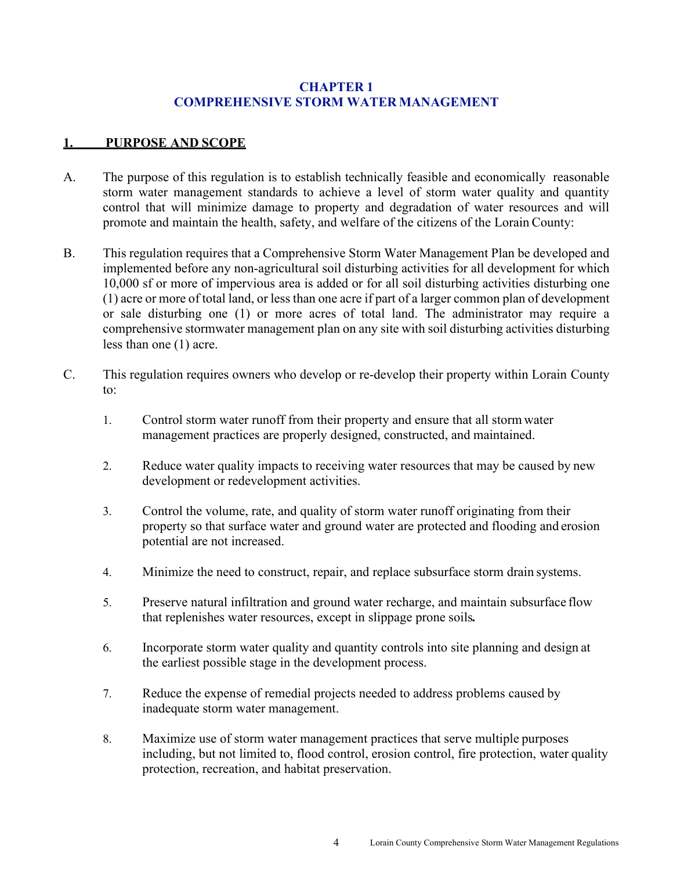#### **CHAPTER 1 COMPREHENSIVE STORM WATER MANAGEMENT**

#### **1. PURPOSE AND SCOPE**

- A. The purpose of this regulation is to establish technically feasible and economically reasonable storm water management standards to achieve a level of storm water quality and quantity control that will minimize damage to property and degradation of water resources and will promote and maintain the health, safety, and welfare of the citizens of the Lorain County:
- B. This regulation requires that a Comprehensive Storm Water Management Plan be developed and implemented before any non-agricultural soil disturbing activities for all development for which 10,000 sf or more of impervious area is added or for all soil disturbing activities disturbing one (1) acre or more of total land, or less than one acre if part of a larger common plan of development or sale disturbing one (1) or more acres of total land. The administrator may require a comprehensive stormwater management plan on any site with soil disturbing activities disturbing less than one (1) acre.
- C. This regulation requires owners who develop or re-develop their property within Lorain County to:
	- 1. Control storm water runoff from their property and ensure that all storm water management practices are properly designed, constructed, and maintained.
	- 2. Reduce water quality impacts to receiving water resources that may be caused by new development or redevelopment activities.
	- 3. Control the volume, rate, and quality of storm water runoff originating from their property so that surface water and ground water are protected and flooding and erosion potential are not increased.
	- 4. Minimize the need to construct, repair, and replace subsurface storm drain systems.
	- 5. Preserve natural infiltration and ground water recharge, and maintain subsurface flow that replenishes water resources, except in slippage prone soils*.*
	- 6. Incorporate storm water quality and quantity controls into site planning and design at the earliest possible stage in the development process.
	- 7. Reduce the expense of remedial projects needed to address problems caused by inadequate storm water management.
	- 8. Maximize use of storm water management practices that serve multiple purposes including, but not limited to, flood control, erosion control, fire protection, water quality protection, recreation, and habitat preservation.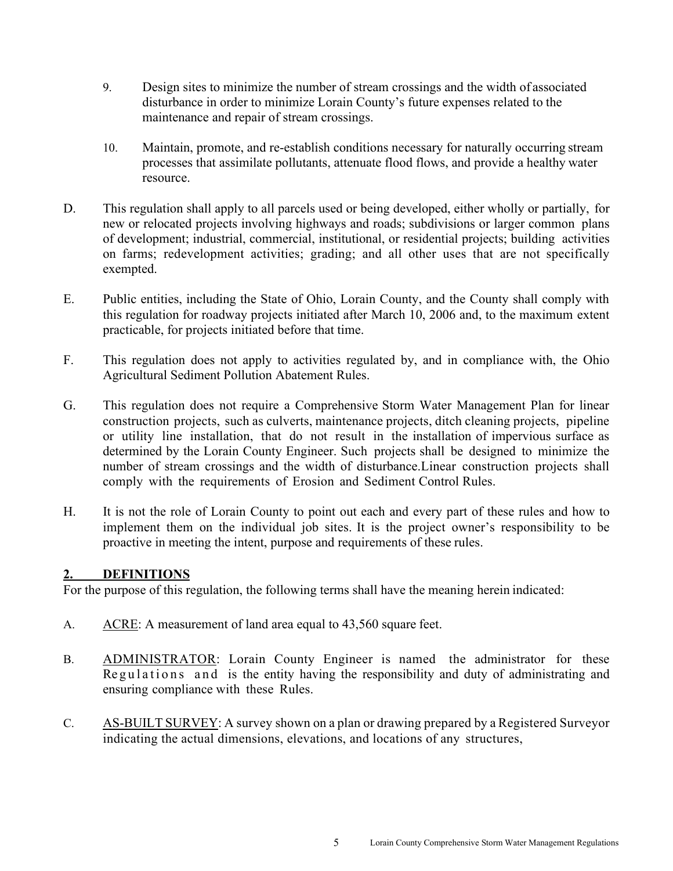- 9. Design sites to minimize the number of stream crossings and the width of associated disturbance in order to minimize Lorain County's future expenses related to the maintenance and repair of stream crossings.
- 10. Maintain, promote, and re-establish conditions necessary for naturally occurring stream processes that assimilate pollutants, attenuate flood flows, and provide a healthy water resource.
- D. This regulation shall apply to all parcels used or being developed, either wholly or partially, for new or relocated projects involving highways and roads; subdivisions or larger common plans of development; industrial, commercial, institutional, or residential projects; building activities on farms; redevelopment activities; grading; and all other uses that are not specifically exempted.
- E. Public entities, including the State of Ohio, Lorain County, and the County shall comply with this regulation for roadway projects initiated after March 10, 2006 and, to the maximum extent practicable, for projects initiated before that time.
- F. This regulation does not apply to activities regulated by, and in compliance with, the Ohio Agricultural Sediment Pollution Abatement Rules.
- G. This regulation does not require a Comprehensive Storm Water Management Plan for linear construction projects, such as culverts, maintenance projects, ditch cleaning projects, pipeline or utility line installation, that do not result in the installation of impervious surface as determined by the Lorain County Engineer. Such projects shall be designed to minimize the number of stream crossings and the width of disturbance. Linear construction projects shall comply with the requirements of Erosion and Sediment Control Rules.
- H. It is not the role of Lorain County to point out each and every part of these rules and how to implement them on the individual job sites. It is the project owner's responsibility to be proactive in meeting the intent, purpose and requirements of these rules.

#### **2. DEFINITIONS**

For the purpose of this regulation, the following terms shall have the meaning herein indicated:

- A. ACRE: A measurement of land area equal to 43,560 square feet.
- B. ADMINISTRATOR: Lorain County Engineer is named the administrator for these Regulations and is the entity having the responsibility and duty of administrating and ensuring compliance with these Rules.
- C. AS-BUILT SURVEY: A survey shown on a plan or drawing prepared by a Registered Surveyor indicating the actual dimensions, elevations, and locations of any structures,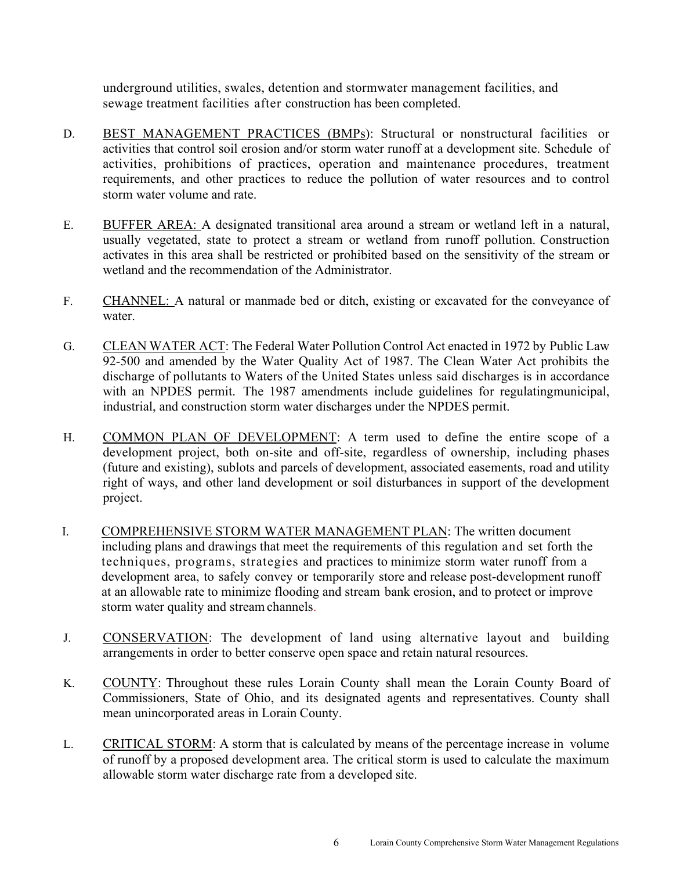underground utilities, swales, detention and stormwater management facilities, and sewage treatment facilities after construction has been completed.

- D. BEST MANAGEMENT PRACTICES (BMPs): Structural or nonstructural facilities or activities that control soil erosion and/or storm water runoff at a development site. Schedule of activities, prohibitions of practices, operation and maintenance procedures, treatment requirements, and other practices to reduce the pollution of water resources and to control storm water volume and rate.
- E. BUFFER AREA: A designated transitional area around a stream or wetland left in a natural, usually vegetated, state to protect a stream or wetland from runoff pollution. Construction activates in this area shall be restricted or prohibited based on the sensitivity of the stream or wetland and the recommendation of the Administrator.
- F. CHANNEL: A natural or manmade bed or ditch, existing or excavated for the conveyance of water.
- G. CLEAN WATER ACT: The Federal Water Pollution Control Act enacted in 1972 by Public Law 92-500 and amended by the Water Quality Act of 1987. The Clean Water Act prohibits the discharge of pollutants to Waters of the United States unless said discharges is in accordance with an NPDES permit. The 1987 amendments include guidelines for regulating municipal, industrial, and construction storm water discharges under the NPDES permit.
- H. COMMON PLAN OF DEVELOPMENT: A term used to define the entire scope of a development project, both on-site and off-site, regardless of ownership, including phases (future and existing), sublots and parcels of development, associated easements, road and utility right of ways, and other land development or soil disturbances in support of the development project.
- I. COMPREHENSIVE STORM WATER MANAGEMENT PLAN: The written document including plans and drawings that meet the requirements of this regulation and set forth the techniques, programs, strategies and practices to minimize storm water runoff from a development area, to safely convey or temporarily store and release post-development runoff at an allowable rate to minimize flooding and stream bank erosion, and to protect or improve storm water quality and stream channels.
- J. CONSERVATION: The development of land using alternative layout and building arrangements in order to better conserve open space and retain natural resources.
- K. COUNTY: Throughout these rules Lorain County shall mean the Lorain County Board of Commissioners, State of Ohio, and its designated agents and representatives. County shall mean unincorporated areas in Lorain County.
- L. CRITICAL STORM: A storm that is calculated by means of the percentage increase in volume of runoff by a proposed development area. The critical storm is used to calculate the maximum allowable storm water discharge rate from a developed site.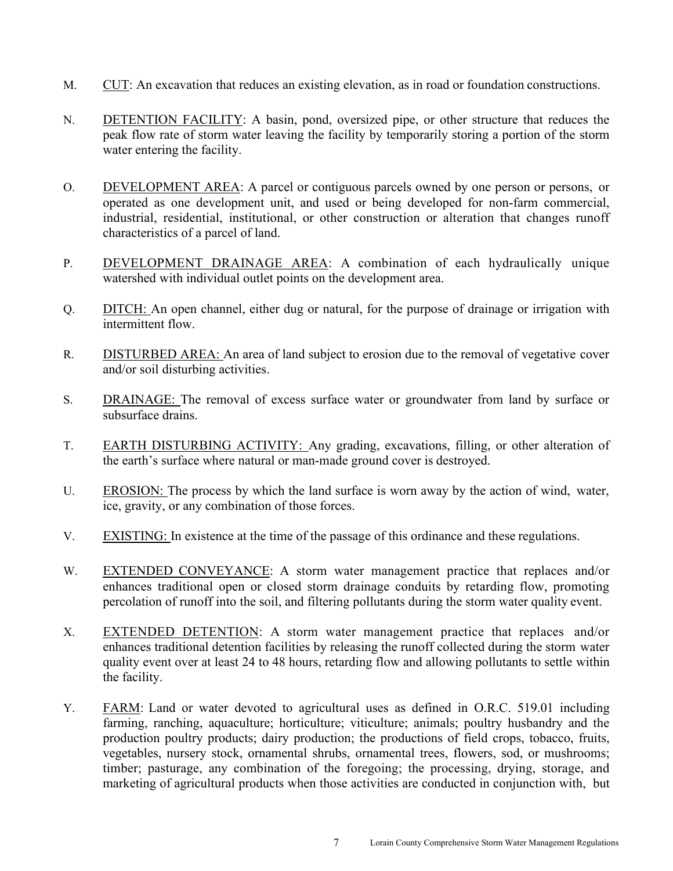- M. CUT: An excavation that reduces an existing elevation, as in road or foundation constructions.
- N. DETENTION FACILITY: A basin, pond, oversized pipe, or other structure that reduces the peak flow rate of storm water leaving the facility by temporarily storing a portion of the storm water entering the facility.
- O. DEVELOPMENT AREA: A parcel or contiguous parcels owned by one person or persons, or operated as one development unit, and used or being developed for non-farm commercial, industrial, residential, institutional, or other construction or alteration that changes runoff characteristics of a parcel of land.
- P. DEVELOPMENT DRAINAGE AREA: A combination of each hydraulically unique watershed with individual outlet points on the development area.
- Q. DITCH: An open channel, either dug or natural, for the purpose of drainage or irrigation with intermittent flow.
- R. DISTURBED AREA: An area of land subject to erosion due to the removal of vegetative cover and/or soil disturbing activities.
- S. DRAINAGE: The removal of excess surface water or groundwater from land by surface or subsurface drains.
- T. EARTH DISTURBING ACTIVITY: Any grading, excavations, filling, or other alteration of the earth's surface where natural or man-made ground cover is destroyed.
- U. EROSION: The process by which the land surface is worn away by the action of wind, water, ice, gravity, or any combination of those forces.
- V. EXISTING: In existence at the time of the passage of this ordinance and these regulations.
- W. EXTENDED CONVEYANCE: A storm water management practice that replaces and/or enhances traditional open or closed storm drainage conduits by retarding flow, promoting percolation of runoff into the soil, and filtering pollutants during the storm water quality event.
- X. EXTENDED DETENTION: A storm water management practice that replaces and/or enhances traditional detention facilities by releasing the runoff collected during the storm water quality event over at least 24 to 48 hours, retarding flow and allowing pollutants to settle within the facility.
- Y. FARM: Land or water devoted to agricultural uses as defined in O.R.C. 519.01 including farming, ranching, aquaculture; horticulture; viticulture; animals; poultry husbandry and the production poultry products; dairy production; the productions of field crops, tobacco, fruits, vegetables, nursery stock, ornamental shrubs, ornamental trees, flowers, sod, or mushrooms; timber; pasturage, any combination of the foregoing; the processing, drying, storage, and marketing of agricultural products when those activities are conducted in conjunction with, but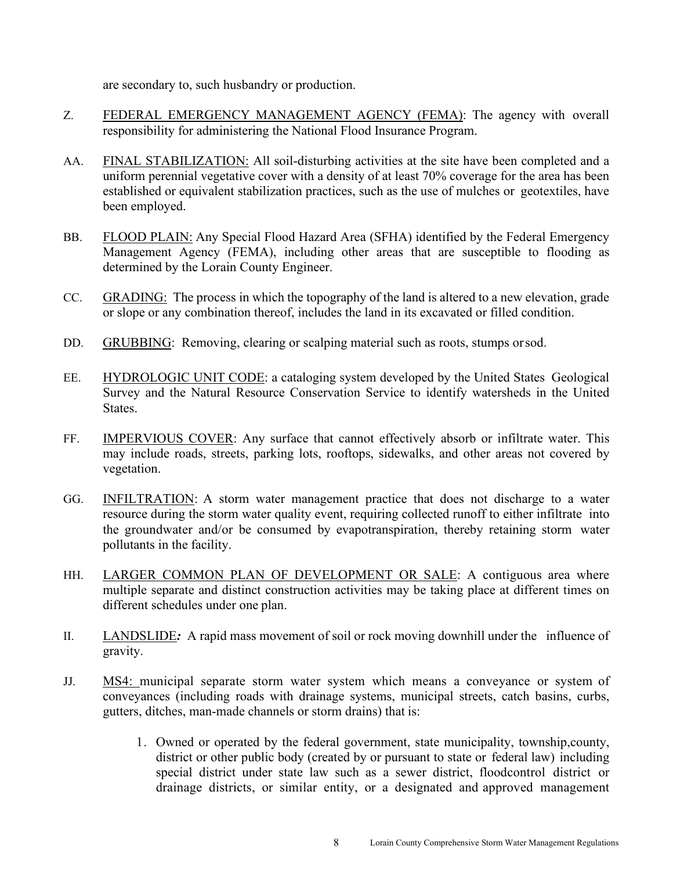are secondary to, such husbandry or production.

- Z. FEDERAL EMERGENCY MANAGEMENT AGENCY (FEMA): The agency with overall responsibility for administering the National Flood Insurance Program.
- AA. FINAL STABILIZATION: All soil-disturbing activities at the site have been completed and a uniform perennial vegetative cover with a density of at least 70% coverage for the area has been established or equivalent stabilization practices, such as the use of mulches or geotextiles, have been employed.
- BB. FLOOD PLAIN: Any Special Flood Hazard Area (SFHA) identified by the Federal Emergency Management Agency (FEMA), including other areas that are susceptible to flooding as determined by the Lorain County Engineer.
- CC. GRADING: The process in which the topography of the land is altered to a new elevation, grade or slope or any combination thereof, includes the land in its excavated or filled condition.
- DD. GRUBBING: Removing, clearing or scalping material such as roots, stumps or sod.
- EE. HYDROLOGIC UNIT CODE: a cataloging system developed by the United States Geological Survey and the Natural Resource Conservation Service to identify watersheds in the United States.
- FF. IMPERVIOUS COVER: Any surface that cannot effectively absorb or infiltrate water. This may include roads, streets, parking lots, rooftops, sidewalks, and other areas not covered by vegetation.
- GG. INFILTRATION: A storm water management practice that does not discharge to a water resource during the storm water quality event, requiring collected runoff to either infiltrate into the groundwater and/or be consumed by evapotranspiration, thereby retaining storm water pollutants in the facility.
- HH. LARGER COMMON PLAN OF DEVELOPMENT OR SALE: A contiguous area where multiple separate and distinct construction activities may be taking place at different times on different schedules under one plan.
- II. LANDSLIDE*:* A rapid mass movement of soil or rock moving downhill under the influence of gravity.
- JJ. MS4: municipal separate storm water system which means a conveyance or system of conveyances (including roads with drainage systems, municipal streets, catch basins, curbs, gutters, ditches, man-made channels or storm drains) that is:
	- 1. Owned or operated by the federal government, state municipality, township, county, district or other public body (created by or pursuant to state or federal law) including special district under state law such as a sewer district, floodcontrol district or drainage districts, or similar entity, or a designated and approved management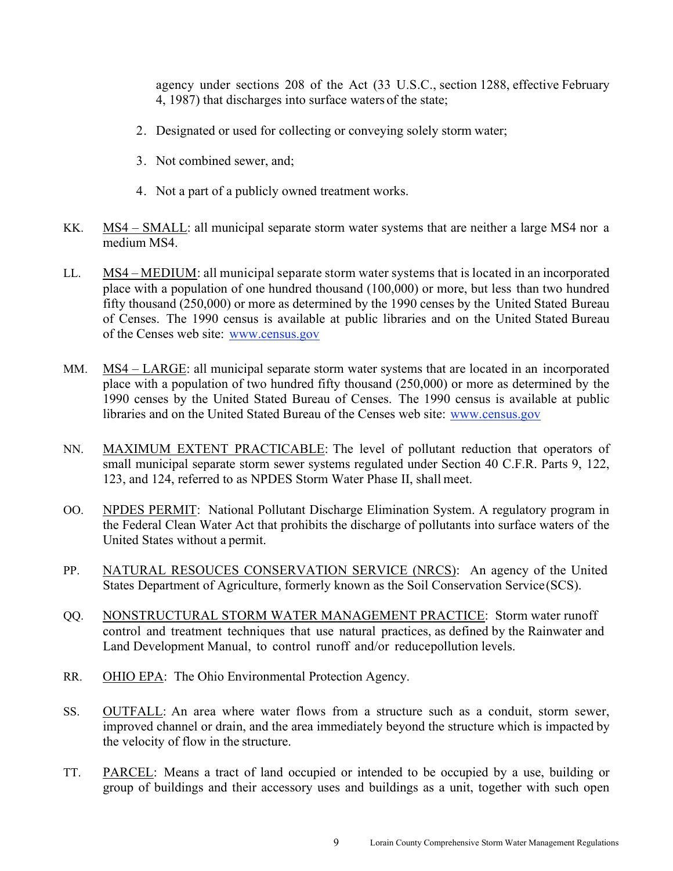agency under sections 208 of the Act (33 U.S.C., section 1288, effective February 4, 1987) that discharges into surface waters of the state;

- 2. Designated or used for collecting or conveying solely storm water;
- 3. Not combined sewer, and;
- 4. Not a part of a publicly owned treatment works.
- KK. MS4 SMALL: all municipal separate storm water systems that are neither a large MS4 nor a medium MS4.
- LL. MS4 MEDIUM: all municipal separate storm water systems that is located in an incorporated place with a population of one hundred thousand (100,000) or more, but less than two hundred fifty thousand (250,000) or more as determined by the 1990 censes by the United Stated Bureau of Censes. The 1990 census is available at public libraries and on the United Stated Bureau of the Censes web site: www.census.gov
- MM. MS4 LARGE: all municipal separate storm water systems that are located in an incorporated place with a population of two hundred fifty thousand (250,000) or more as determined by the 1990 censes by the United Stated Bureau of Censes. The 1990 census is available at public libraries and on the United Stated Bureau of the Censes web site: www.census.gov
- NN. MAXIMUM EXTENT PRACTICABLE: The level of pollutant reduction that operators of small municipal separate storm sewer systems regulated under Section 40 C.F.R. Parts 9, 122, 123, and 124, referred to as NPDES Storm Water Phase II, shall meet.
- OO. NPDES PERMIT: National Pollutant Discharge Elimination System. A regulatory program in the Federal Clean Water Act that prohibits the discharge of pollutants into surface waters of the United States without a permit.
- PP. NATURAL RESOUCES CONSERVATION SERVICE (NRCS): An agency of the United States Department of Agriculture, formerly known as the Soil Conservation Service (SCS).
- QQ. NONSTRUCTURAL STORM WATER MANAGEMENT PRACTICE: Storm water runoff control and treatment techniques that use natural practices, as defined by the Rainwater and Land Development Manual, to control runoff and/or reduce pollution levels.
- RR. OHIO EPA: The Ohio Environmental Protection Agency.
- SS. OUTFALL: An area where water flows from a structure such as a conduit, storm sewer, improved channel or drain, and the area immediately beyond the structure which is impacted by the velocity of flow in the structure.
- TT. PARCEL: Means a tract of land occupied or intended to be occupied by a use, building or group of buildings and their accessory uses and buildings as a unit, together with such open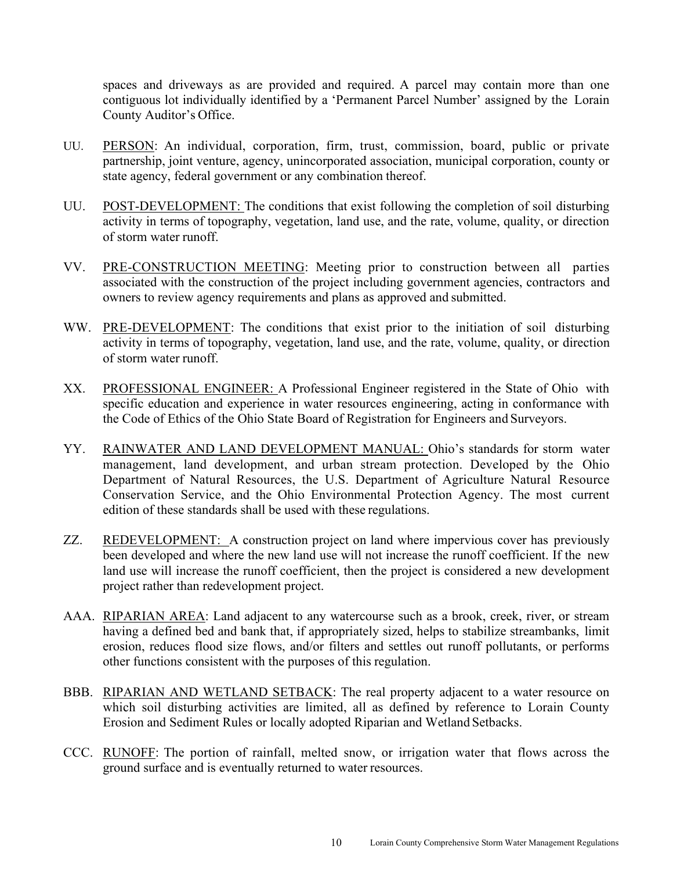spaces and driveways as are provided and required. A parcel may contain more than one contiguous lot individually identified by a 'Permanent Parcel Number' assigned by the Lorain County Auditor's Office.

- UU. PERSON: An individual, corporation, firm, trust, commission, board, public or private partnership, joint venture, agency, unincorporated association, municipal corporation, county or state agency, federal government or any combination thereof.
- UU. POST-DEVELOPMENT: The conditions that exist following the completion of soil disturbing activity in terms of topography, vegetation, land use, and the rate, volume, quality, or direction of storm water runoff.
- VV. PRE-CONSTRUCTION MEETING: Meeting prior to construction between all parties associated with the construction of the project including government agencies, contractors and owners to review agency requirements and plans as approved and submitted.
- WW. PRE-DEVELOPMENT: The conditions that exist prior to the initiation of soil disturbing activity in terms of topography, vegetation, land use, and the rate, volume, quality, or direction of storm water runoff.
- XX. PROFESSIONAL ENGINEER: A Professional Engineer registered in the State of Ohio with specific education and experience in water resources engineering, acting in conformance with the Code of Ethics of the Ohio State Board of Registration for Engineers and Surveyors.
- YY. RAINWATER AND LAND DEVELOPMENT MANUAL: Ohio's standards for storm water management, land development, and urban stream protection. Developed by the Ohio Department of Natural Resources, the U.S. Department of Agriculture Natural Resource Conservation Service, and the Ohio Environmental Protection Agency. The most current edition of these standards shall be used with these regulations.
- ZZ. REDEVELOPMENT: A construction project on land where impervious cover has previously been developed and where the new land use will not increase the runoff coefficient. If the new land use will increase the runoff coefficient, then the project is considered a new development project rather than redevelopment project.
- AAA. RIPARIAN AREA: Land adjacent to any watercourse such as a brook, creek, river, or stream having a defined bed and bank that, if appropriately sized, helps to stabilize streambanks, limit erosion, reduces flood size flows, and/or filters and settles out runoff pollutants, or performs other functions consistent with the purposes of this regulation.
- BBB. RIPARIAN AND WETLAND SETBACK: The real property adjacent to a water resource on which soil disturbing activities are limited, all as defined by reference to Lorain County Erosion and Sediment Rules or locally adopted Riparian and Wetland Setbacks.
- CCC. RUNOFF: The portion of rainfall, melted snow, or irrigation water that flows across the ground surface and is eventually returned to water resources.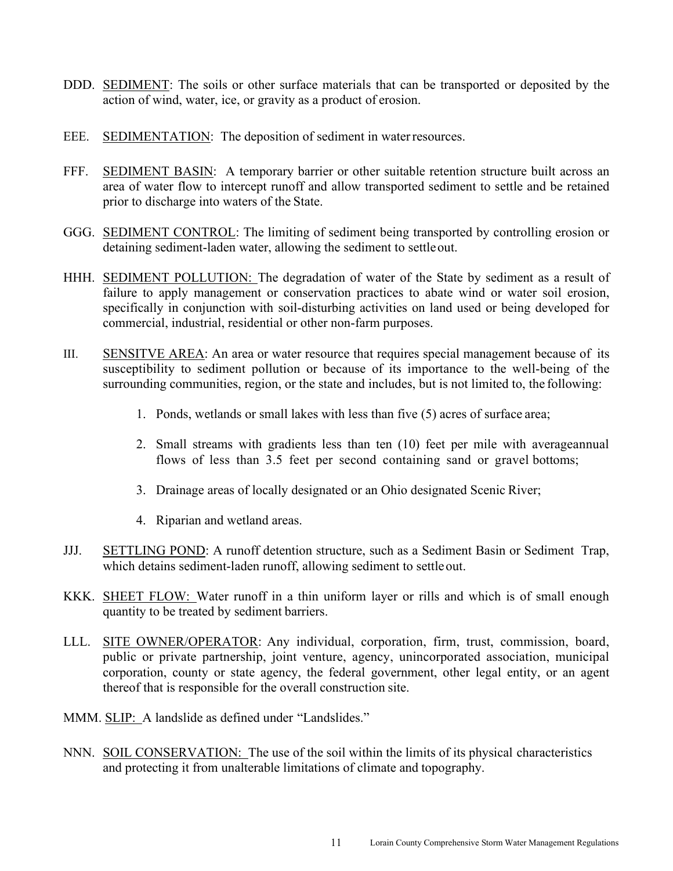- DDD. SEDIMENT: The soils or other surface materials that can be transported or deposited by the action of wind, water, ice, or gravity as a product of erosion.
- EEE. SEDIMENTATION: The deposition of sediment in water resources.
- FFF. SEDIMENT BASIN: A temporary barrier or other suitable retention structure built across an area of water flow to intercept runoff and allow transported sediment to settle and be retained prior to discharge into waters of the State.
- GGG. SEDIMENT CONTROL: The limiting of sediment being transported by controlling erosion or detaining sediment-laden water, allowing the sediment to settle out.
- HHH. SEDIMENT POLLUTION: The degradation of water of the State by sediment as a result of failure to apply management or conservation practices to abate wind or water soil erosion, specifically in conjunction with soil-disturbing activities on land used or being developed for commercial, industrial, residential or other non-farm purposes.
- III. SENSITVE AREA: An area or water resource that requires special management because of its susceptibility to sediment pollution or because of its importance to the well-being of the surrounding communities, region, or the state and includes, but is not limited to, the following:
	- 1. Ponds, wetlands or small lakes with less than five (5) acres of surface area;
	- 2. Small streams with gradients less than ten (10) feet per mile with average annual flows of less than 3.5 feet per second containing sand or gravel bottoms;
	- 3. Drainage areas of locally designated or an Ohio designated Scenic River;
	- 4. Riparian and wetland areas.
- JJJ. SETTLING POND: A runoff detention structure, such as a Sediment Basin or Sediment Trap, which detains sediment-laden runoff, allowing sediment to settle out.
- KKK. SHEET FLOW: Water runoff in a thin uniform layer or rills and which is of small enough quantity to be treated by sediment barriers.
- LLL. SITE OWNER/OPERATOR: Any individual, corporation, firm, trust, commission, board, public or private partnership, joint venture, agency, unincorporated association, municipal corporation, county or state agency, the federal government, other legal entity, or an agent thereof that is responsible for the overall construction site.
- MMM. SLIP: A landslide as defined under "Landslides."
- NNN. SOIL CONSERVATION: The use of the soil within the limits of its physical characteristics and protecting it from unalterable limitations of climate and topography.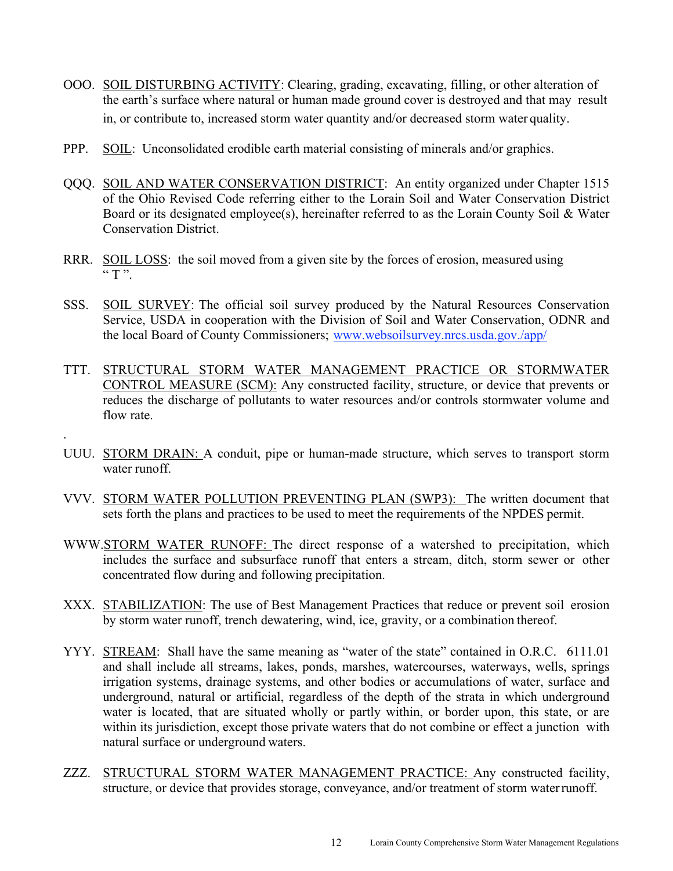- OOO. SOIL DISTURBING ACTIVITY: Clearing, grading, excavating, filling, or other alteration of the earth's surface where natural or human made ground cover is destroyed and that may result in, or contribute to, increased storm water quantity and/or decreased storm water quality.
- PPP. SOIL: Unconsolidated erodible earth material consisting of minerals and/or graphics.
- QQQ. SOIL AND WATER CONSERVATION DISTRICT: An entity organized under Chapter 1515 of the Ohio Revised Code referring either to the Lorain Soil and Water Conservation District Board or its designated employee(s), hereinafter referred to as the Lorain County Soil & Water Conservation District.
- RRR. SOIL LOSS: the soil moved from a given site by the forces of erosion, measured using  $"T"$ .
- SSS. SOIL SURVEY: The official soil survey produced by the Natural Resources Conservation Service, USDA in cooperation with the Division of Soil and Water Conservation, ODNR and the local Board of County Commissioners; www.websoilsurvey.nrcs.usda.gov./app/
- TTT. STRUCTURAL STORM WATER MANAGEMENT PRACTICE OR STORMWATER CONTROL MEASURE (SCM): Any constructed facility, structure, or device that prevents or reduces the discharge of pollutants to water resources and/or controls stormwater volume and flow rate.
- UUU. STORM DRAIN: A conduit, pipe or human-made structure, which serves to transport storm water runoff.

.

- VVV. STORM WATER POLLUTION PREVENTING PLAN (SWP3): The written document that sets forth the plans and practices to be used to meet the requirements of the NPDES permit.
- WWW.STORM WATER RUNOFF: The direct response of a watershed to precipitation, which includes the surface and subsurface runoff that enters a stream, ditch, storm sewer or other concentrated flow during and following precipitation.
- XXX. STABILIZATION: The use of Best Management Practices that reduce or prevent soil erosion by storm water runoff, trench dewatering, wind, ice, gravity, or a combination thereof.
- YYY. STREAM: Shall have the same meaning as "water of the state" contained in O.R.C. 6111.01 and shall include all streams, lakes, ponds, marshes, watercourses, waterways, wells, springs irrigation systems, drainage systems, and other bodies or accumulations of water, surface and underground, natural or artificial, regardless of the depth of the strata in which underground water is located, that are situated wholly or partly within, or border upon, this state, or are within its jurisdiction, except those private waters that do not combine or effect a junction with natural surface or underground waters.
- ZZZ. STRUCTURAL STORM WATER MANAGEMENT PRACTICE: Any constructed facility, structure, or device that provides storage, conveyance, and/or treatment of storm water runoff.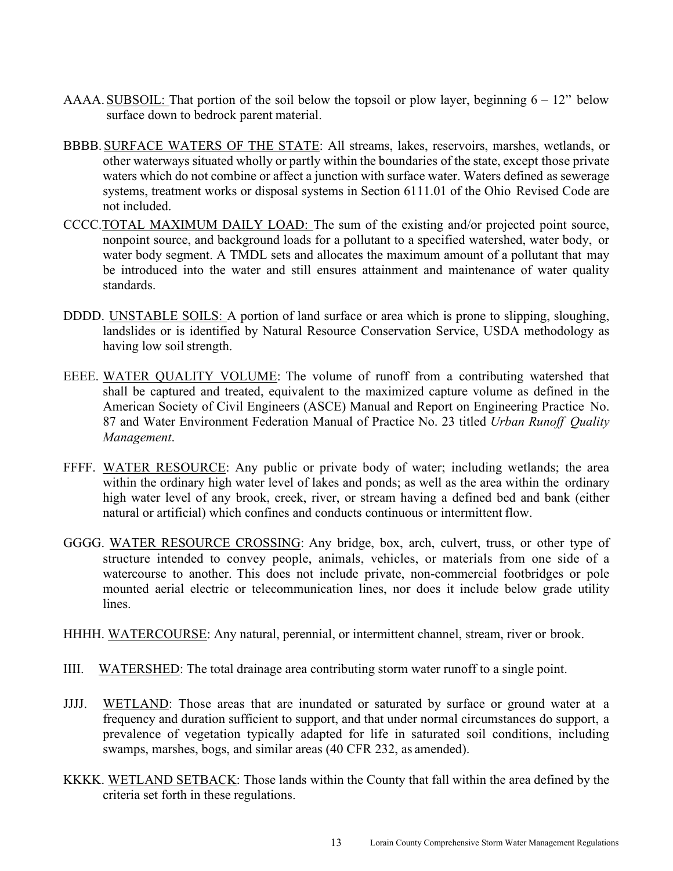- AAAA. SUBSOIL: That portion of the soil below the topsoil or plow layer, beginning  $6 12$ " below surface down to bedrock parent material.
- BBBB. SURFACE WATERS OF THE STATE: All streams, lakes, reservoirs, marshes, wetlands, or other waterways situated wholly or partly within the boundaries of the state, except those private waters which do not combine or affect a junction with surface water. Waters defined as sewerage systems, treatment works or disposal systems in Section 6111.01 of the Ohio Revised Code are not included.
- CCCC.TOTAL MAXIMUM DAILY LOAD: The sum of the existing and/or projected point source, nonpoint source, and background loads for a pollutant to a specified watershed, water body, or water body segment. A TMDL sets and allocates the maximum amount of a pollutant that may be introduced into the water and still ensures attainment and maintenance of water quality standards.
- DDDD. UNSTABLE SOILS: A portion of land surface or area which is prone to slipping, sloughing, landslides or is identified by Natural Resource Conservation Service, USDA methodology as having low soil strength.
- EEEE. WATER QUALITY VOLUME: The volume of runoff from a contributing watershed that shall be captured and treated, equivalent to the maximized capture volume as defined in the American Society of Civil Engineers (ASCE) Manual and Report on Engineering Practice No. 87 and Water Environment Federation Manual of Practice No. 23 titled *Urban Runoff Quality Management*.
- FFFF. WATER RESOURCE: Any public or private body of water; including wetlands; the area within the ordinary high water level of lakes and ponds; as well as the area within the ordinary high water level of any brook, creek, river, or stream having a defined bed and bank (either natural or artificial) which confines and conducts continuous or intermittent flow.
- GGGG. WATER RESOURCE CROSSING: Any bridge, box, arch, culvert, truss, or other type of structure intended to convey people, animals, vehicles, or materials from one side of a watercourse to another. This does not include private, non-commercial footbridges or pole mounted aerial electric or telecommunication lines, nor does it include below grade utility lines.

HHHH. WATERCOURSE: Any natural, perennial, or intermittent channel, stream, river or brook.

- IIII. WATERSHED: The total drainage area contributing storm water runoff to a single point.
- JJJJ. WETLAND: Those areas that are inundated or saturated by surface or ground water at a frequency and duration sufficient to support, and that under normal circumstances do support, a prevalence of vegetation typically adapted for life in saturated soil conditions, including swamps, marshes, bogs, and similar areas (40 CFR 232, as amended).
- KKKK. WETLAND SETBACK: Those lands within the County that fall within the area defined by the criteria set forth in these regulations.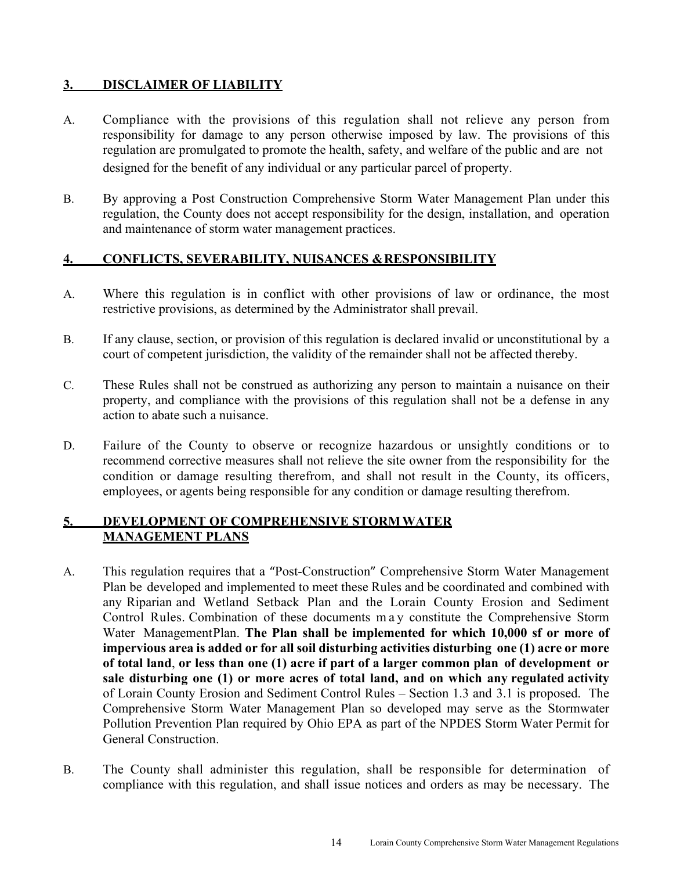## **3. DISCLAIMER OF LIABILITY**

- A. Compliance with the provisions of this regulation shall not relieve any person from responsibility for damage to any person otherwise imposed by law. The provisions of this regulation are promulgated to promote the health, safety, and welfare of the public and are not designed for the benefit of any individual or any particular parcel of property.
- B. By approving a Post Construction Comprehensive Storm Water Management Plan under this regulation, the County does not accept responsibility for the design, installation, and operation and maintenance of storm water management practices.

#### **4. CONFLICTS, SEVERABILITY, NUISANCES & RESPONSIBILITY**

- A. Where this regulation is in conflict with other provisions of law or ordinance, the most restrictive provisions, as determined by the Administrator shall prevail.
- B. If any clause, section, or provision of this regulation is declared invalid or unconstitutional by a court of competent jurisdiction, the validity of the remainder shall not be affected thereby.
- C. These Rules shall not be construed as authorizing any person to maintain a nuisance on their property, and compliance with the provisions of this regulation shall not be a defense in any action to abate such a nuisance.
- D. Failure of the County to observe or recognize hazardous or unsightly conditions or to recommend corrective measures shall not relieve the site owner from the responsibility for the condition or damage resulting therefrom, and shall not result in the County, its officers, employees, or agents being responsible for any condition or damage resulting therefrom.

#### **5. DEVELOPMENT OF COMPREHENSIVE STORM WATER MANAGEMENT PLANS**

- A. This regulation requires that a "Post-Construction" Comprehensive Storm Water Management Plan be developed and implemented to meet these Rules and be coordinated and combined with any Riparian and Wetland Setback Plan and the Lorain County Erosion and Sediment Control Rules. Combination of these documents m a y constitute the Comprehensive Storm Water Management Plan. The Plan shall be implemented for which 10,000 sf or more of **impervious area is added or for all soil disturbing activities disturbing one (1) acre or more of total land**, **or less than one (1) acre if part of a larger common plan of development or sale disturbing one (1) or more acres of total land, and on which any regulated activity**  of Lorain County Erosion and Sediment Control Rules – Section 1.3 and 3.1 is proposed. The Comprehensive Storm Water Management Plan so developed may serve as the Stormwater Pollution Prevention Plan required by Ohio EPA as part of the NPDES Storm Water Permit for General Construction.
- B. The County shall administer this regulation, shall be responsible for determination of compliance with this regulation, and shall issue notices and orders as may be necessary. The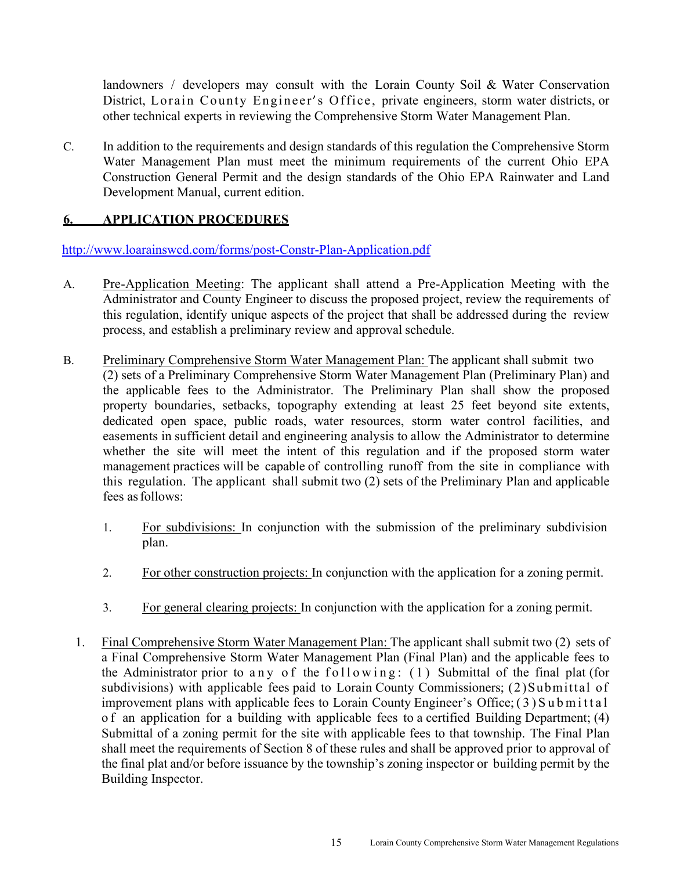landowners / developers may consult with the Lorain County Soil & Water Conservation District, Lorain County Engineer's Office, private engineers, storm water districts, or other technical experts in reviewing the Comprehensive Storm Water Management Plan.

C. In addition to the requirements and design standards of this regulation the Comprehensive Storm Water Management Plan must meet the minimum requirements of the current Ohio EPA Construction General Permit and the design standards of the Ohio EPA Rainwater and Land Development Manual, current edition.

#### **6. APPLICATION PROCEDURES**

http://www.loarainswcd.com/forms/post-Constr-Plan-Application.pdf

- A. Pre-Application Meeting: The applicant shall attend a Pre-Application Meeting with the Administrator and County Engineer to discuss the proposed project, review the requirements of this regulation, identify unique aspects of the project that shall be addressed during the review process, and establish a preliminary review and approval schedule.
- B. Preliminary Comprehensive Storm Water Management Plan: The applicant shall submit two (2) sets of a Preliminary Comprehensive Storm Water Management Plan (Preliminary Plan) and the applicable fees to the Administrator. The Preliminary Plan shall show the proposed property boundaries, setbacks, topography extending at least 25 feet beyond site extents, dedicated open space, public roads, water resources, storm water control facilities, and easements in sufficient detail and engineering analysis to allow the Administrator to determine whether the site will meet the intent of this regulation and if the proposed storm water management practices will be capable of controlling runoff from the site in compliance with this regulation. The applicant shall submit two (2) sets of the Preliminary Plan and applicable fees as follows:
	- 1. For subdivisions: In conjunction with the submission of the preliminary subdivision plan.
	- 2. For other construction projects: In conjunction with the application for a zoning permit.
	- 3. For general clearing projects: In conjunction with the application for a zoning permit.
	- 1. Final Comprehensive Storm Water Management Plan: The applicant shall submit two (2) sets of a Final Comprehensive Storm Water Management Plan (Final Plan) and the applicable fees to the Administrator prior to any of the following:  $(1)$  Submittal of the final plat (for subdivisions) with applicable fees paid to Lorain County Commissioners; (2) Submittal of improvement plans with applicable fees to Lorain County Engineer's Office; ( 3 ) S u b m i t t a l o f an application for a building with applicable fees to a certified Building Department; (4) Submittal of a zoning permit for the site with applicable fees to that township. The Final Plan shall meet the requirements of Section 8 of these rules and shall be approved prior to approval of the final plat and/or before issuance by the township's zoning inspector or building permit by the Building Inspector.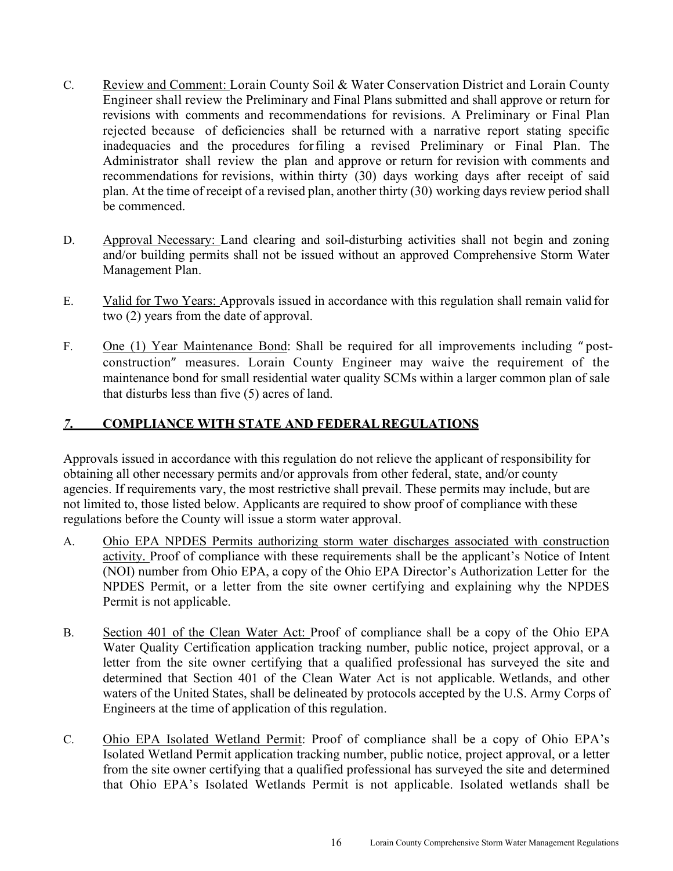- C. Review and Comment: Lorain County Soil & Water Conservation District and Lorain County Engineer shall review the Preliminary and Final Plans submitted and shall approve or return for revisions with comments and recommendations for revisions. A Preliminary or Final Plan rejected because of deficiencies shall be returned with a narrative report stating specific inadequacies and the procedures for filing a revised Preliminary or Final Plan. The Administrator shall review the plan and approve or return for revision with comments and recommendations for revisions, within thirty (30) days working days after receipt of said plan. At the time of receipt of a revised plan, another thirty (30) working days review period shall be commenced.
- D. Approval Necessary: Land clearing and soil-disturbing activities shall not begin and zoning and/or building permits shall not be issued without an approved Comprehensive Storm Water Management Plan.
- E. Valid for Two Years: Approvals issued in accordance with this regulation shall remain valid for two (2) years from the date of approval.
- F. One (1) Year Maintenance Bond: Shall be required for all improvements including " postconstruction" measures. Lorain County Engineer may waive the requirement of the maintenance bond for small residential water quality SCMs within a larger common plan of sale that disturbs less than five (5) acres of land.

#### *7***. COMPLIANCE WITH STATE AND FEDERAL REGULATIONS**

Approvals issued in accordance with this regulation do not relieve the applicant of responsibility for obtaining all other necessary permits and/or approvals from other federal, state, and/or county agencies. If requirements vary, the most restrictive shall prevail. These permits may include, but are not limited to, those listed below. Applicants are required to show proof of compliance with these regulations before the County will issue a storm water approval.

- A. Ohio EPA NPDES Permits authorizing storm water discharges associated with construction activity. Proof of compliance with these requirements shall be the applicant's Notice of Intent (NOI) number from Ohio EPA, a copy of the Ohio EPA Director's Authorization Letter for the NPDES Permit, or a letter from the site owner certifying and explaining why the NPDES Permit is not applicable.
- B. Section 401 of the Clean Water Act: Proof of compliance shall be a copy of the Ohio EPA Water Quality Certification application tracking number, public notice, project approval, or a letter from the site owner certifying that a qualified professional has surveyed the site and determined that Section 401 of the Clean Water Act is not applicable. Wetlands, and other waters of the United States, shall be delineated by protocols accepted by the U.S. Army Corps of Engineers at the time of application of this regulation.
- C. Ohio EPA Isolated Wetland Permit: Proof of compliance shall be a copy of Ohio EPA's Isolated Wetland Permit application tracking number, public notice, project approval, or a letter from the site owner certifying that a qualified professional has surveyed the site and determined that Ohio EPA's Isolated Wetlands Permit is not applicable. Isolated wetlands shall be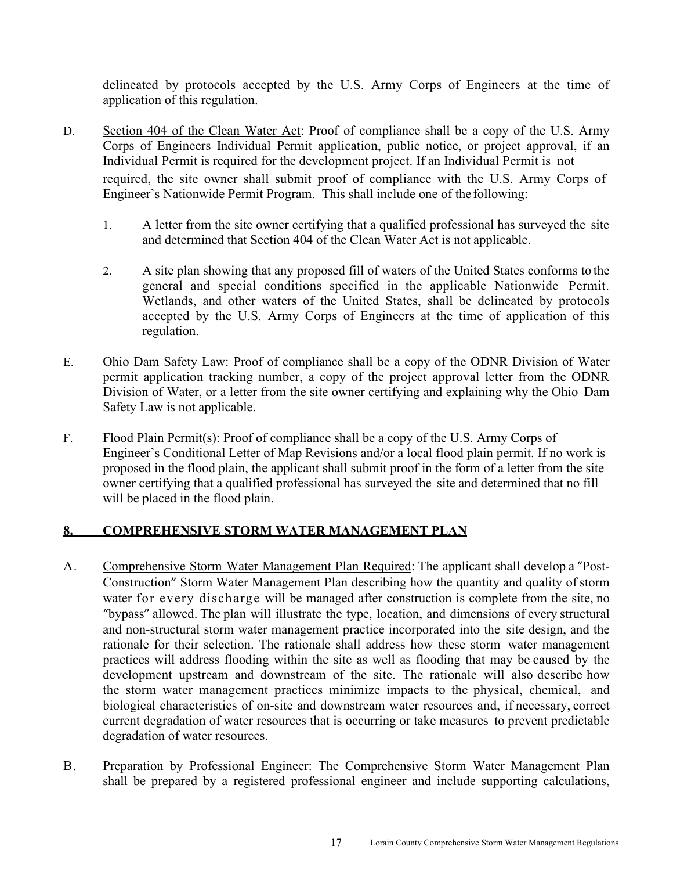delineated by protocols accepted by the U.S. Army Corps of Engineers at the time of application of this regulation.

- D. Section 404 of the Clean Water Act: Proof of compliance shall be a copy of the U.S. Army Corps of Engineers Individual Permit application, public notice, or project approval, if an Individual Permit is required for the development project. If an Individual Permit is not required, the site owner shall submit proof of compliance with the U.S. Army Corps of Engineer's Nationwide Permit Program. This shall include one of the following:
	- 1. A letter from the site owner certifying that a qualified professional has surveyed the site and determined that Section 404 of the Clean Water Act is not applicable.
	- 2. A site plan showing that any proposed fill of waters of the United States conforms to the general and special conditions specified in the applicable Nationwide Permit. Wetlands, and other waters of the United States, shall be delineated by protocols accepted by the U.S. Army Corps of Engineers at the time of application of this regulation.
- E. Ohio Dam Safety Law: Proof of compliance shall be a copy of the ODNR Division of Water permit application tracking number, a copy of the project approval letter from the ODNR Division of Water, or a letter from the site owner certifying and explaining why the Ohio Dam Safety Law is not applicable.
- F. Flood Plain Permit(s): Proof of compliance shall be a copy of the U.S. Army Corps of Engineer's Conditional Letter of Map Revisions and/or a local flood plain permit. If no work is proposed in the flood plain, the applicant shall submit proof in the form of a letter from the site owner certifying that a qualified professional has surveyed the site and determined that no fill will be placed in the flood plain.

#### **8. COMPREHENSIVE STORM WATER MANAGEMENT PLAN**

- A. Comprehensive Storm Water Management Plan Required: The applicant shall develop a "Post-Construction" Storm Water Management Plan describing how the quantity and quality of storm water for every discharge will be managed after construction is complete from the site, no "bypass" allowed. The plan will illustrate the type, location, and dimensions of every structural and non-structural storm water management practice incorporated into the site design, and the rationale for their selection. The rationale shall address how these storm water management practices will address flooding within the site as well as flooding that may be caused by the development upstream and downstream of the site. The rationale will also describe how the storm water management practices minimize impacts to the physical, chemical, and biological characteristics of on-site and downstream water resources and, if necessary, correct current degradation of water resources that is occurring or take measures to prevent predictable degradation of water resources.
- B. Preparation by Professional Engineer: The Comprehensive Storm Water Management Plan shall be prepared by a registered professional engineer and include supporting calculations,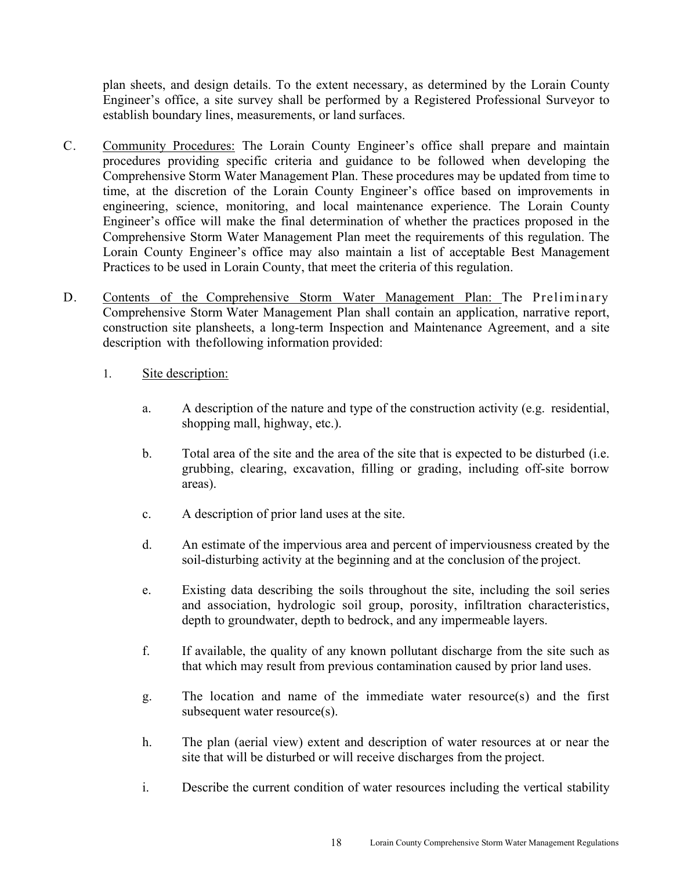plan sheets, and design details. To the extent necessary, as determined by the Lorain County Engineer's office, a site survey shall be performed by a Registered Professional Surveyor to establish boundary lines, measurements, or land surfaces.

- C. Community Procedures: The Lorain County Engineer's office shall prepare and maintain procedures providing specific criteria and guidance to be followed when developing the Comprehensive Storm Water Management Plan. These procedures may be updated from time to time, at the discretion of the Lorain County Engineer's office based on improvements in engineering, science, monitoring, and local maintenance experience. The Lorain County Engineer's office will make the final determination of whether the practices proposed in the Comprehensive Storm Water Management Plan meet the requirements of this regulation. The Lorain County Engineer's office may also maintain a list of acceptable Best Management Practices to be used in Lorain County, that meet the criteria of this regulation.
- D. Contents of the Comprehensive Storm Water Management Plan: The Preliminary Comprehensive Storm Water Management Plan shall contain an application, narrative report, construction site plan sheets, a long-term Inspection and Maintenance Agreement, and a site description with the following information provided:
	- 1. Site description:
		- a. A description of the nature and type of the construction activity (e.g. residential, shopping mall, highway, etc.).
		- b. Total area of the site and the area of the site that is expected to be disturbed (i.e. grubbing, clearing, excavation, filling or grading, including off-site borrow areas).
		- c. A description of prior land uses at the site.
		- d. An estimate of the impervious area and percent of imperviousness created by the soil-disturbing activity at the beginning and at the conclusion of the project.
		- e. Existing data describing the soils throughout the site, including the soil series and association, hydrologic soil group, porosity, infiltration characteristics, depth to groundwater, depth to bedrock, and any impermeable layers.
		- f. If available, the quality of any known pollutant discharge from the site such as that which may result from previous contamination caused by prior land uses.
		- g. The location and name of the immediate water resource(s) and the first subsequent water resource(s).
		- h. The plan (aerial view) extent and description of water resources at or near the site that will be disturbed or will receive discharges from the project.
		- i. Describe the current condition of water resources including the vertical stability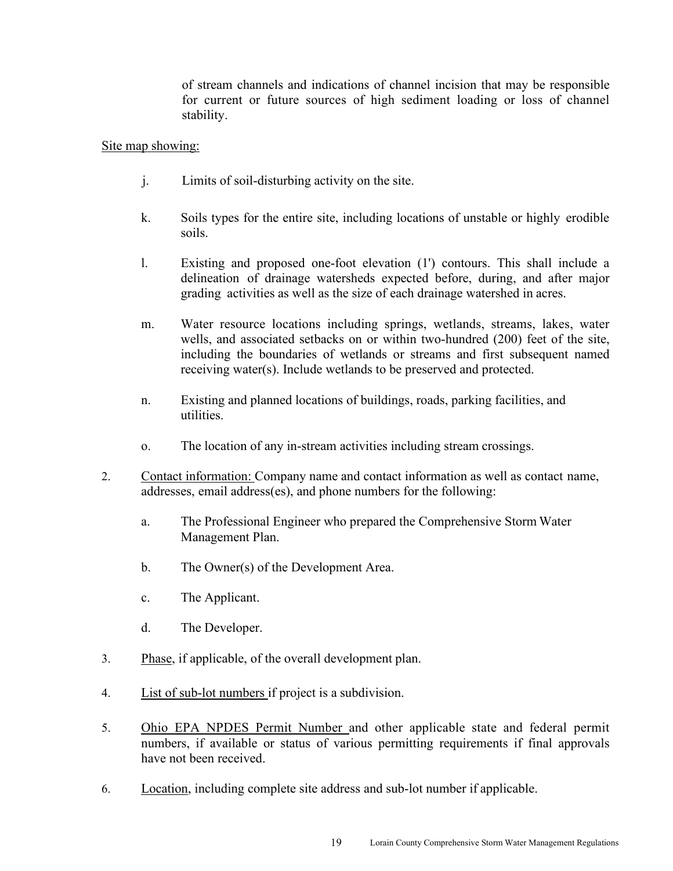of stream channels and indications of channel incision that may be responsible for current or future sources of high sediment loading or loss of channel stability.

#### Site map showing:

- j. Limits of soil-disturbing activity on the site.
- k. Soils types for the entire site, including locations of unstable or highly erodible soils.
- l. Existing and proposed one-foot elevation (1') contours. This shall include a delineation of drainage watersheds expected before, during, and after major grading activities as well as the size of each drainage watershed in acres.
- m. Water resource locations including springs, wetlands, streams, lakes, water wells, and associated setbacks on or within two-hundred (200) feet of the site, including the boundaries of wetlands or streams and first subsequent named receiving water(s). Include wetlands to be preserved and protected.
- n. Existing and planned locations of buildings, roads, parking facilities, and utilities.
- o. The location of any in-stream activities including stream crossings.
- 2. Contact information: Company name and contact information as well as contact name, addresses, email address(es), and phone numbers for the following:
	- a. The Professional Engineer who prepared the Comprehensive Storm Water Management Plan.
	- b. The Owner(s) of the Development Area.
	- c. The Applicant.
	- d. The Developer.
- 3. Phase, if applicable, of the overall development plan.
- 4. List of sub-lot numbers if project is a subdivision.
- 5. Ohio EPA NPDES Permit Number and other applicable state and federal permit numbers, if available or status of various permitting requirements if final approvals have not been received.
- 6. Location, including complete site address and sub-lot number if applicable.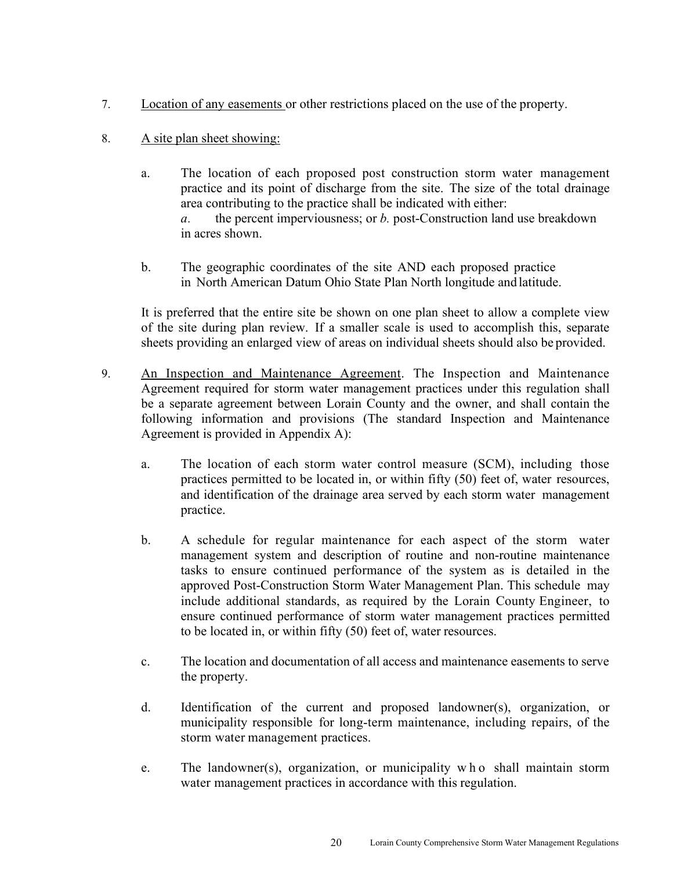- 7. Location of any easements or other restrictions placed on the use of the property.
- 8. A site plan sheet showing:
	- a. The location of each proposed post construction storm water management practice and its point of discharge from the site. The size of the total drainage area contributing to the practice shall be indicated with either: *a.* the percent imperviousness; or *b.* post-Construction land use breakdown in acres shown.
	- b. The geographic coordinates of the site AND each proposed practice in North American Datum Ohio State Plan North longitude and latitude.

It is preferred that the entire site be shown on one plan sheet to allow a complete view of the site during plan review. If a smaller scale is used to accomplish this, separate sheets providing an enlarged view of areas on individual sheets should also be provided.

- 9. An Inspection and Maintenance Agreement. The Inspection and Maintenance Agreement required for storm water management practices under this regulation shall be a separate agreement between Lorain County and the owner, and shall contain the following information and provisions (The standard Inspection and Maintenance Agreement is provided in Appendix A):
	- a. The location of each storm water control measure (SCM), including those practices permitted to be located in, or within fifty (50) feet of, water resources, and identification of the drainage area served by each storm water management practice.
	- b. A schedule for regular maintenance for each aspect of the storm water management system and description of routine and non-routine maintenance tasks to ensure continued performance of the system as is detailed in the approved Post-Construction Storm Water Management Plan. This schedule may include additional standards, as required by the Lorain County Engineer, to ensure continued performance of storm water management practices permitted to be located in, or within fifty (50) feet of, water resources.
	- c. The location and documentation of all access and maintenance easements to serve the property.
	- d. Identification of the current and proposed landowner(s), organization, or municipality responsible for long-term maintenance, including repairs, of the storm water management practices.
	- e. The landowner(s), organization, or municipality w h o shall maintain storm water management practices in accordance with this regulation.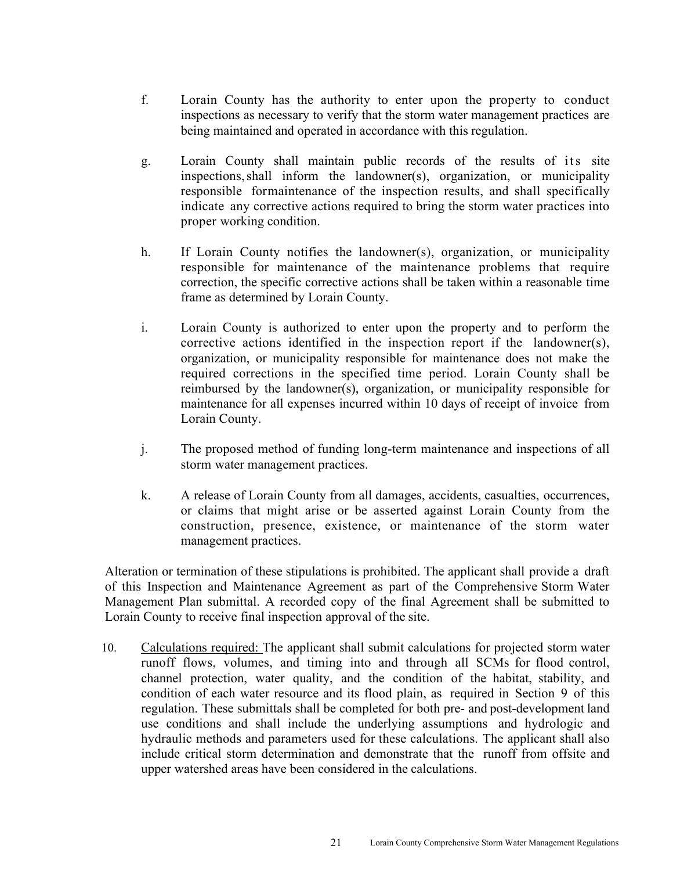- f. Lorain County has the authority to enter upon the property to conduct inspections as necessary to verify that the storm water management practices are being maintained and operated in accordance with this regulation.
- g. Lorain County shall maintain public records of the results of its site inspections, shall inform the landowner(s), organization, or municipality responsible for maintenance of the inspection results, and shall specifically indicate any corrective actions required to bring the storm water practices into proper working condition.
- h. If Lorain County notifies the landowner(s), organization, or municipality responsible for maintenance of the maintenance problems that require correction, the specific corrective actions shall be taken within a reasonable time frame as determined by Lorain County.
- i. Lorain County is authorized to enter upon the property and to perform the corrective actions identified in the inspection report if the landowner(s), organization, or municipality responsible for maintenance does not make the required corrections in the specified time period. Lorain County shall be reimbursed by the landowner(s), organization, or municipality responsible for maintenance for all expenses incurred within 10 days of receipt of invoice from Lorain County.
- j. The proposed method of funding long-term maintenance and inspections of all storm water management practices.
- k. A release of Lorain County from all damages, accidents, casualties, occurrences, or claims that might arise or be asserted against Lorain County from the construction, presence, existence, or maintenance of the storm water management practices.

Alteration or termination of these stipulations is prohibited. The applicant shall provide a draft of this Inspection and Maintenance Agreement as part of the Comprehensive Storm Water Management Plan submittal. A recorded copy of the final Agreement shall be submitted to Lorain County to receive final inspection approval of the site.

10. Calculations required: The applicant shall submit calculations for projected storm water runoff flows, volumes, and timing into and through all SCMs for flood control, channel protection, water quality, and the condition of the habitat, stability, and condition of each water resource and its flood plain, as required in Section 9 of this regulation. These submittals shall be completed for both pre- and post-development land use conditions and shall include the underlying assumptions and hydrologic and hydraulic methods and parameters used for these calculations. The applicant shall also include critical storm determination and demonstrate that the runoff from offsite and upper watershed areas have been considered in the calculations.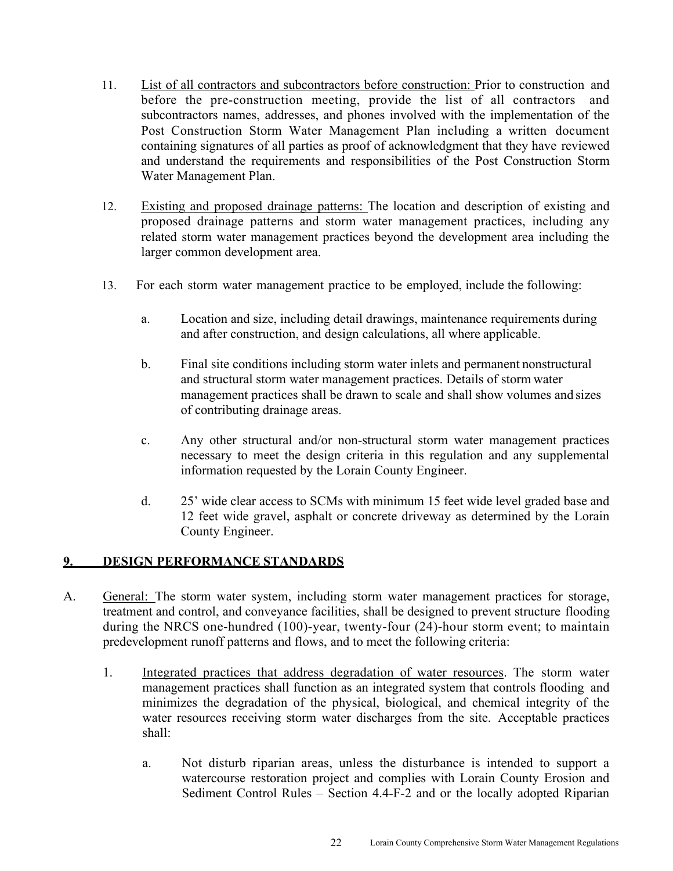- 11. List of all contractors and subcontractors before construction: Prior to construction and before the pre-construction meeting, provide the list of all contractors and subcontractors names, addresses, and phones involved with the implementation of the Post Construction Storm Water Management Plan including a written document containing signatures of all parties as proof of acknowledgment that they have reviewed and understand the requirements and responsibilities of the Post Construction Storm Water Management Plan.
- 12. Existing and proposed drainage patterns: The location and description of existing and proposed drainage patterns and storm water management practices, including any related storm water management practices beyond the development area including the larger common development area.
- 13. For each storm water management practice to be employed, include the following:
	- a. Location and size, including detail drawings, maintenance requirements during and after construction, and design calculations, all where applicable.
	- b. Final site conditions including storm water inlets and permanent nonstructural and structural storm water management practices. Details of storm water management practices shall be drawn to scale and shall show volumes and sizes of contributing drainage areas.
	- c. Any other structural and/or non-structural storm water management practices necessary to meet the design criteria in this regulation and any supplemental information requested by the Lorain County Engineer.
	- d. 25' wide clear access to SCMs with minimum 15 feet wide level graded base and 12 feet wide gravel, asphalt or concrete driveway as determined by the Lorain County Engineer.

#### **9. DESIGN PERFORMANCE STANDARDS**

- A. General: The storm water system, including storm water management practices for storage, treatment and control, and conveyance facilities, shall be designed to prevent structure flooding during the NRCS one-hundred (100)-year, twenty-four (24)-hour storm event; to maintain predevelopment runoff patterns and flows, and to meet the following criteria:
	- 1. Integrated practices that address degradation of water resources. The storm water management practices shall function as an integrated system that controls flooding and minimizes the degradation of the physical, biological, and chemical integrity of the water resources receiving storm water discharges from the site. Acceptable practices shall:
		- a. Not disturb riparian areas, unless the disturbance is intended to support a watercourse restoration project and complies with Lorain County Erosion and Sediment Control Rules – Section 4.4-F-2 and or the locally adopted Riparian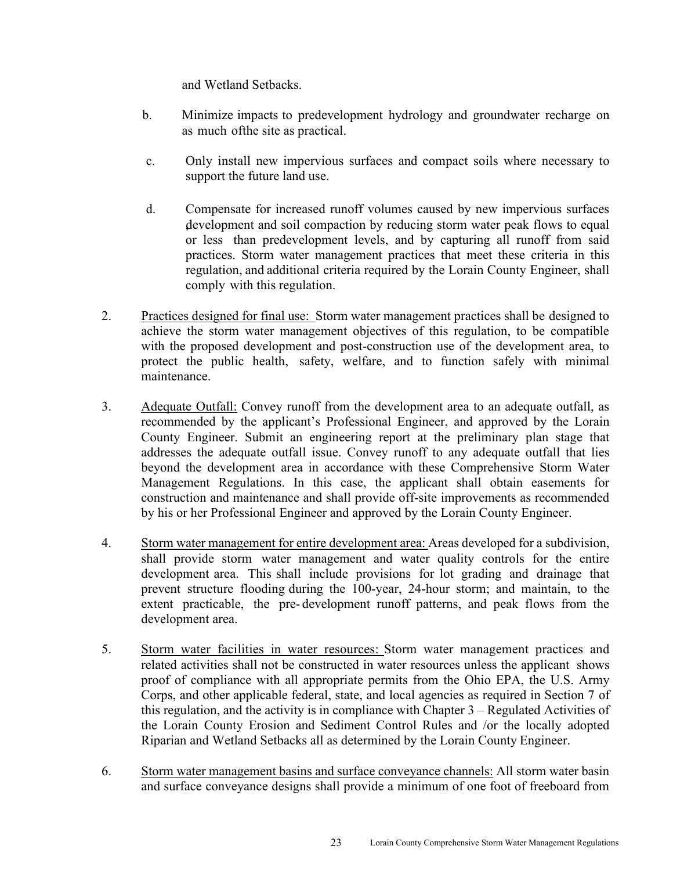and Wetland Setbacks.

- b. Minimize impacts to predevelopment hydrology and groundwater recharge on as much of the site as practical.
- c. Only install new impervious surfaces and compact soils where necessary to support the future land use.
- d. Compensate for increased runoff volumes caused by new impervious surfaces , development and soil compaction by reducing storm water peak flows to equal or less than predevelopment levels, and by capturing all runoff from said practices. Storm water management practices that meet these criteria in this regulation, and additional criteria required by the Lorain County Engineer, shall comply with this regulation.
- 2. Practices designed for final use: Storm water management practices shall be designed to achieve the storm water management objectives of this regulation, to be compatible with the proposed development and post-construction use of the development area, to protect the public health, safety, welfare, and to function safely with minimal maintenance.
- 3. Adequate Outfall: Convey runoff from the development area to an adequate outfall, as recommended by the applicant's Professional Engineer, and approved by the Lorain County Engineer. Submit an engineering report at the preliminary plan stage that addresses the adequate outfall issue. Convey runoff to any adequate outfall that lies beyond the development area in accordance with these Comprehensive Storm Water Management Regulations. In this case, the applicant shall obtain easements for construction and maintenance and shall provide off-site improvements as recommended by his or her Professional Engineer and approved by the Lorain County Engineer.
- 4. Storm water management for entire development area: Areas developed for a subdivision, shall provide storm water management and water quality controls for the entire development area. This shall include provisions for lot grading and drainage that prevent structure flooding during the 100-year, 24-hour storm; and maintain, to the extent practicable, the pre- development runoff patterns, and peak flows from the development area.
- 5. Storm water facilities in water resources: Storm water management practices and related activities shall not be constructed in water resources unless the applicant shows proof of compliance with all appropriate permits from the Ohio EPA, the U.S. Army Corps, and other applicable federal, state, and local agencies as required in Section 7 of this regulation, and the activity is in compliance with Chapter 3 – Regulated Activities of the Lorain County Erosion and Sediment Control Rules and /or the locally adopted Riparian and Wetland Setbacks all as determined by the Lorain County Engineer.
- 6. Storm water management basins and surface conveyance channels: All storm water basin and surface conveyance designs shall provide a minimum of one foot of freeboard from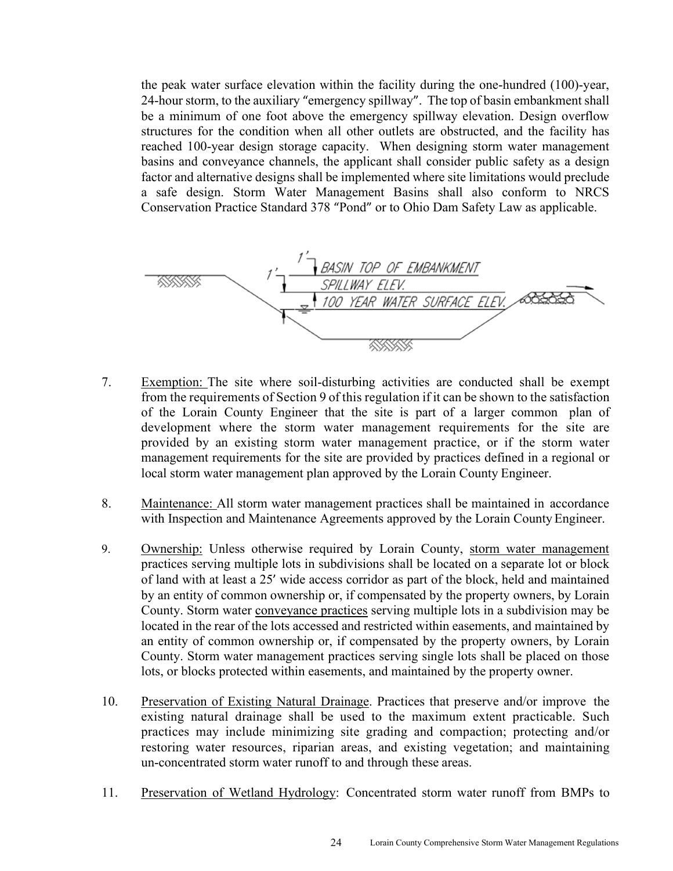the peak water surface elevation within the facility during the one-hundred (100)-year, 24-hour storm, to the auxiliary "emergency spillway". The top of basin embankment shall be a minimum of one foot above the emergency spillway elevation. Design overflow structures for the condition when all other outlets are obstructed, and the facility has reached 100-year design storage capacity. When designing storm water management basins and conveyance channels, the applicant shall consider public safety as a design factor and alternative designs shall be implemented where site limitations would preclude a safe design. Storm Water Management Basins shall also conform to NRCS Conservation Practice Standard 378 "Pond" or to Ohio Dam Safety Law as applicable.



- 7. Exemption: The site where soil-disturbing activities are conducted shall be exempt from the requirements of Section 9 of this regulation if it can be shown to the satisfaction of the Lorain County Engineer that the site is part of a larger common plan of development where the storm water management requirements for the site are provided by an existing storm water management practice, or if the storm water management requirements for the site are provided by practices defined in a regional or local storm water management plan approved by the Lorain County Engineer.
- 8. Maintenance: All storm water management practices shall be maintained in accordance with Inspection and Maintenance Agreements approved by the Lorain County Engineer.
- 9. Ownership: Unless otherwise required by Lorain County, storm water management practices serving multiple lots in subdivisions shall be located on a separate lot or block of land with at least a 25' wide access corridor as part of the block, held and maintained by an entity of common ownership or, if compensated by the property owners, by Lorain County. Storm water conveyance practices serving multiple lots in a subdivision may be located in the rear of the lots accessed and restricted within easements, and maintained by an entity of common ownership or, if compensated by the property owners, by Lorain County. Storm water management practices serving single lots shall be placed on those lots, or blocks protected within easements, and maintained by the property owner.
- 10. Preservation of Existing Natural Drainage. Practices that preserve and/or improve the existing natural drainage shall be used to the maximum extent practicable. Such practices may include minimizing site grading and compaction; protecting and/or restoring water resources, riparian areas, and existing vegetation; and maintaining un-concentrated storm water runoff to and through these areas.
- 11. Preservation of Wetland Hydrology: Concentrated storm water runoff from BMPs to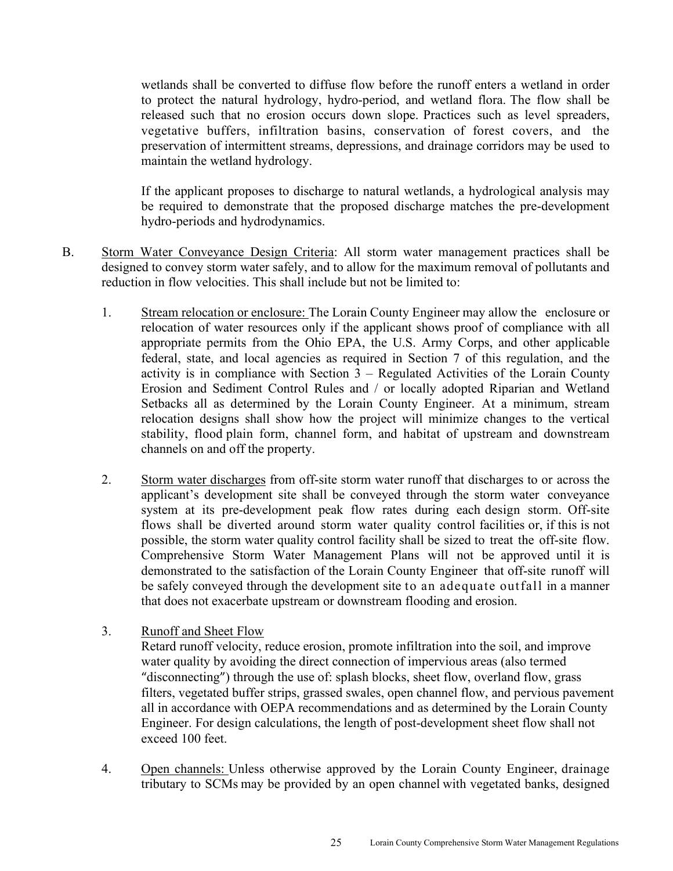wetlands shall be converted to diffuse flow before the runoff enters a wetland in order to protect the natural hydrology, hydro-period, and wetland flora. The flow shall be released such that no erosion occurs down slope. Practices such as level spreaders, vegetative buffers, infiltration basins, conservation of forest covers, and the preservation of intermittent streams, depressions, and drainage corridors may be used to maintain the wetland hydrology.

If the applicant proposes to discharge to natural wetlands, a hydrological analysis may be required to demonstrate that the proposed discharge matches the pre-development hydro-periods and hydrodynamics.

- B. Storm Water Conveyance Design Criteria: All storm water management practices shall be designed to convey storm water safely, and to allow for the maximum removal of pollutants and reduction in flow velocities. This shall include but not be limited to:
	- 1. Stream relocation or enclosure: The Lorain County Engineer may allow the enclosure or relocation of water resources only if the applicant shows proof of compliance with all appropriate permits from the Ohio EPA, the U.S. Army Corps, and other applicable federal, state, and local agencies as required in Section 7 of this regulation, and the activity is in compliance with Section 3 – Regulated Activities of the Lorain County Erosion and Sediment Control Rules and / or locally adopted Riparian and Wetland Setbacks all as determined by the Lorain County Engineer. At a minimum, stream relocation designs shall show how the project will minimize changes to the vertical stability, flood plain form, channel form, and habitat of upstream and downstream channels on and off the property.
	- 2. Storm water discharges from off-site storm water runoff that discharges to or across the applicant's development site shall be conveyed through the storm water conveyance system at its pre-development peak flow rates during each design storm. Off-site flows shall be diverted around storm water quality control facilities or, if this is not possible, the storm water quality control facility shall be sized to treat the off-site flow. Comprehensive Storm Water Management Plans will not be approved until it is demonstrated to the satisfaction of the Lorain County Engineer that off-site runoff will be safely conveyed through the development site to an adequate outfall in a manner that does not exacerbate upstream or downstream flooding and erosion.
	- 3. Runoff and Sheet Flow

Retard runoff velocity, reduce erosion, promote infiltration into the soil, and improve water quality by avoiding the direct connection of impervious areas (also termed "disconnecting") through the use of: splash blocks, sheet flow, overland flow, grass filters, vegetated buffer strips, grassed swales, open channel flow, and pervious pavement all in accordance with OEPA recommendations and as determined by the Lorain County Engineer. For design calculations, the length of post-development sheet flow shall not exceed 100 feet.

4. Open channels: Unless otherwise approved by the Lorain County Engineer, drainage tributary to SCMs may be provided by an open channel with vegetated banks, designed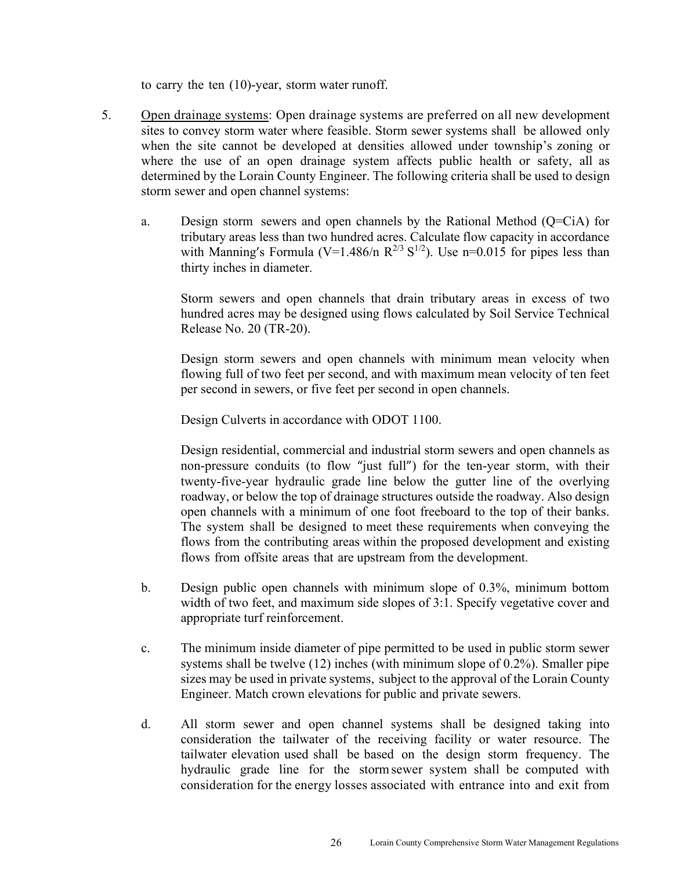to carry the ten (10)-year, storm water runoff.

- 5. Open drainage systems: Open drainage systems are preferred on all new development sites to convey storm water where feasible. Storm sewer systems shall be allowed only when the site cannot be developed at densities allowed under township's zoning or where the use of an open drainage system affects public health or safety, all as determined by the Lorain County Engineer. The following criteria shall be used to design storm sewer and open channel systems:
	- a. Design storm sewers and open channels by the Rational Method (Q=CiA) for tributary areas less than two hundred acres. Calculate flow capacity in accordance with Manning's Formula (V=1.486/n  $R^{2/3} S^{1/2}$ ). Use n=0.015 for pipes less than thirty inches in diameter.

Storm sewers and open channels that drain tributary areas in excess of two hundred acres may be designed using flows calculated by Soil Service Technical Release No. 20 (TR-20).

Design storm sewers and open channels with minimum mean velocity when flowing full of two feet per second, and with maximum mean velocity of ten feet per second in sewers, or five feet per second in open channels.

Design Culverts in accordance with ODOT 1100.

Design residential, commercial and industrial storm sewers and open channels as non-pressure conduits (to flow "just full") for the ten-year storm, with their twenty-five-year hydraulic grade line below the gutter line of the overlying roadway, or below the top of drainage structures outside the roadway. Also design open channels with a minimum of one foot freeboard to the top of their banks. The system shall be designed to meet these requirements when conveying the flows from the contributing areas within the proposed development and existing flows from offsite areas that are upstream from the development.

- b. Design public open channels with minimum slope of 0.3%, minimum bottom width of two feet, and maximum side slopes of 3:1. Specify vegetative cover and appropriate turf reinforcement.
- c. The minimum inside diameter of pipe permitted to be used in public storm sewer systems shall be twelve (12) inches (with minimum slope of 0.2%). Smaller pipe sizes may be used in private systems, subject to the approval of the Lorain County Engineer. Match crown elevations for public and private sewers.
- d. All storm sewer and open channel systems shall be designed taking into consideration the tailwater of the receiving facility or water resource. The tailwater elevation used shall be based on the design storm frequency. The hydraulic grade line for the storm sewer system shall be computed with consideration for the energy losses associated with entrance into and exit from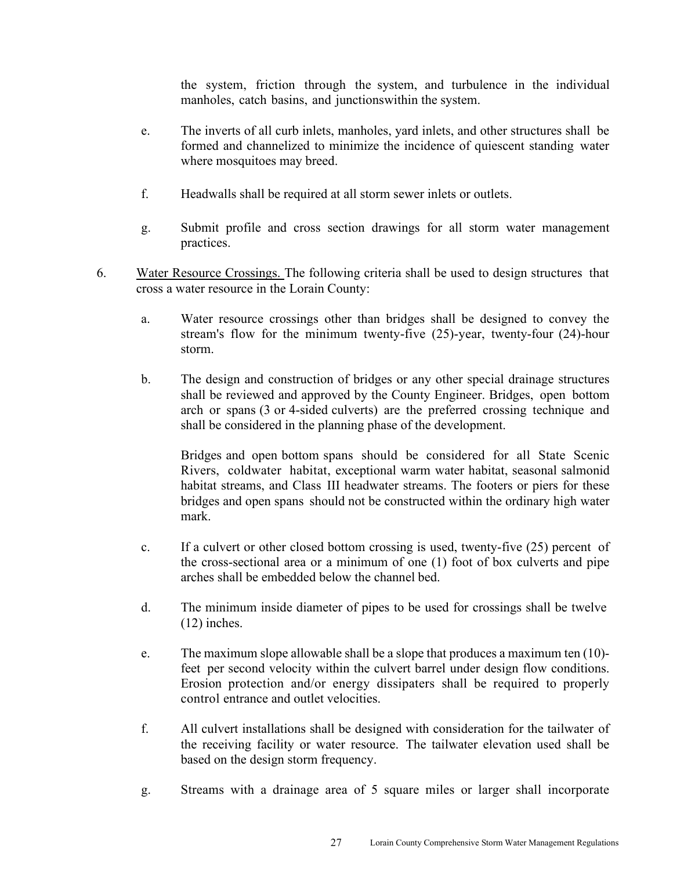the system, friction through the system, and turbulence in the individual manholes, catch basins, and junctions within the system.

- e. The inverts of all curb inlets, manholes, yard inlets, and other structures shall be formed and channelized to minimize the incidence of quiescent standing water where mosquitoes may breed.
- f. Headwalls shall be required at all storm sewer inlets or outlets.
- g. Submit profile and cross section drawings for all storm water management practices.
- 6. Water Resource Crossings. The following criteria shall be used to design structures that cross a water resource in the Lorain County:
	- a. Water resource crossings other than bridges shall be designed to convey the stream's flow for the minimum twenty-five (25)-year, twenty-four (24)-hour storm.
	- b. The design and construction of bridges or any other special drainage structures shall be reviewed and approved by the County Engineer. Bridges, open bottom arch or spans (3 or 4-sided culverts) are the preferred crossing technique and shall be considered in the planning phase of the development.

Bridges and open bottom spans should be considered for all State Scenic Rivers, coldwater habitat, exceptional warm water habitat, seasonal salmonid habitat streams, and Class III headwater streams. The footers or piers for these bridges and open spans should not be constructed within the ordinary high water mark.

- c. If a culvert or other closed bottom crossing is used, twenty-five (25) percent of the cross-sectional area or a minimum of one (1) foot of box culverts and pipe arches shall be embedded below the channel bed.
- d. The minimum inside diameter of pipes to be used for crossings shall be twelve (12) inches.
- e. The maximum slope allowable shall be a slope that produces a maximum ten (10) feet per second velocity within the culvert barrel under design flow conditions. Erosion protection and/or energy dissipaters shall be required to properly control entrance and outlet velocities.
- f. All culvert installations shall be designed with consideration for the tailwater of the receiving facility or water resource. The tailwater elevation used shall be based on the design storm frequency.
- g. Streams with a drainage area of 5 square miles or larger shall incorporate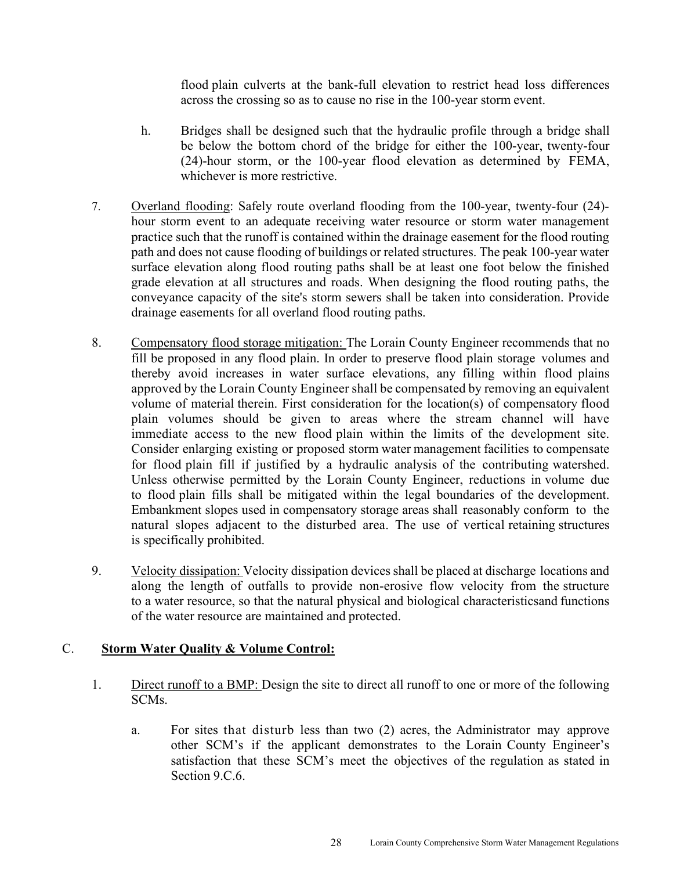flood plain culverts at the bank-full elevation to restrict head loss differences across the crossing so as to cause no rise in the 100-year storm event.

- h. Bridges shall be designed such that the hydraulic profile through a bridge shall be below the bottom chord of the bridge for either the 100-year, twenty-four (24)-hour storm, or the 100-year flood elevation as determined by FEMA, whichever is more restrictive.
- 7. Overland flooding: Safely route overland flooding from the 100-year, twenty-four (24) hour storm event to an adequate receiving water resource or storm water management practice such that the runoff is contained within the drainage easement for the flood routing path and does not cause flooding of buildings or related structures. The peak 100-year water surface elevation along flood routing paths shall be at least one foot below the finished grade elevation at all structures and roads. When designing the flood routing paths, the conveyance capacity of the site's storm sewers shall be taken into consideration. Provide drainage easements for all overland flood routing paths.
- 8. Compensatory flood storage mitigation: The Lorain County Engineer recommends that no fill be proposed in any flood plain. In order to preserve flood plain storage volumes and thereby avoid increases in water surface elevations, any filling within flood plains approved by the Lorain County Engineer shall be compensated by removing an equivalent volume of material therein. First consideration for the location(s) of compensatory flood plain volumes should be given to areas where the stream channel will have immediate access to the new flood plain within the limits of the development site. Consider enlarging existing or proposed storm water management facilities to compensate for flood plain fill if justified by a hydraulic analysis of the contributing watershed. Unless otherwise permitted by the Lorain County Engineer, reductions in volume due to flood plain fills shall be mitigated within the legal boundaries of the development. Embankment slopes used in compensatory storage areas shall reasonably conform to the natural slopes adjacent to the disturbed area. The use of vertical retaining structures is specifically prohibited.
- 9. Velocity dissipation: Velocity dissipation devices shall be placed at discharge locations and along the length of outfalls to provide non-erosive flow velocity from the structure to a water resource, so that the natural physical and biological characteristics and functions of the water resource are maintained and protected.

#### C. **Storm Water Quality & Volume Control:**

- 1. Direct runoff to a BMP: Design the site to direct all runoff to one or more of the following SCMs.
	- a. For sites that disturb less than two (2) acres, the Administrator may approve other SCM's if the applicant demonstrates to the Lorain County Engineer's satisfaction that these SCM's meet the objectives of the regulation as stated in Section 9.C.6.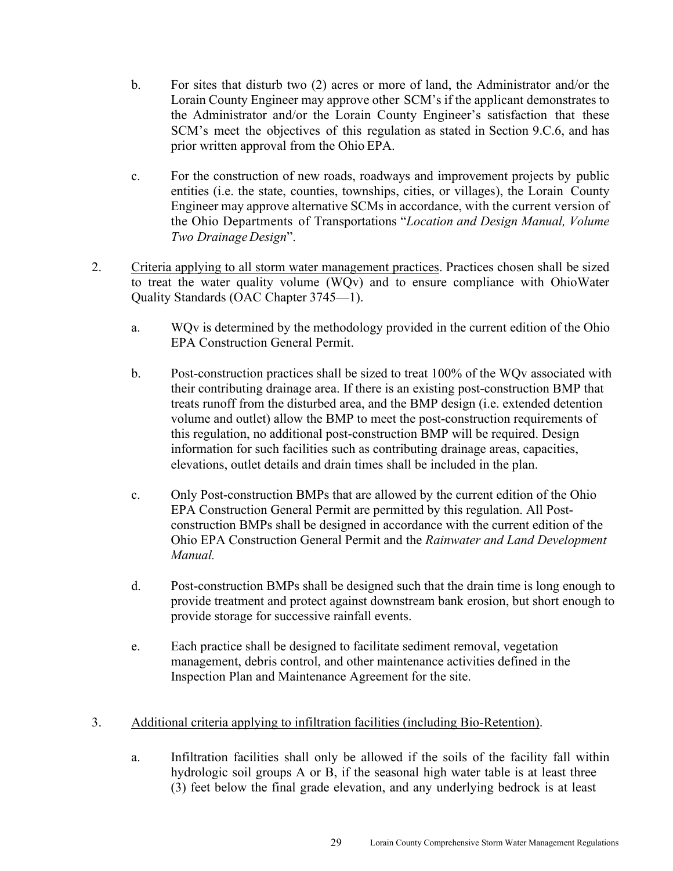- b. For sites that disturb two (2) acres or more of land, the Administrator and/or the Lorain County Engineer may approve other SCM's if the applicant demonstrates to the Administrator and/or the Lorain County Engineer's satisfaction that these SCM's meet the objectives of this regulation as stated in Section 9.C.6, and has prior written approval from the Ohio EPA.
- c. For the construction of new roads, roadways and improvement projects by public entities (i.e. the state, counties, townships, cities, or villages), the Lorain County Engineer may approve alternative SCMs in accordance, with the current version of the Ohio Departments of Transportations "*Location and Design Manual, Volume Two Drainage Design*".
- 2. Criteria applying to all storm water management practices. Practices chosen shall be sized to treat the water quality volume (WQv) and to ensure compliance with Ohio Water Quality Standards (OAC Chapter 3745—1).
	- a. WQv is determined by the methodology provided in the current edition of the Ohio EPA Construction General Permit.
	- b. Post-construction practices shall be sized to treat 100% of the WQv associated with their contributing drainage area. If there is an existing post-construction BMP that treats runoff from the disturbed area, and the BMP design (i.e. extended detention volume and outlet) allow the BMP to meet the post-construction requirements of this regulation, no additional post-construction BMP will be required. Design information for such facilities such as contributing drainage areas, capacities, elevations, outlet details and drain times shall be included in the plan.
	- c. Only Post-construction BMPs that are allowed by the current edition of the Ohio EPA Construction General Permit are permitted by this regulation. All Postconstruction BMPs shall be designed in accordance with the current edition of the Ohio EPA Construction General Permit and the *Rainwater and Land Development Manual.*
	- d. Post-construction BMPs shall be designed such that the drain time is long enough to provide treatment and protect against downstream bank erosion, but short enough to provide storage for successive rainfall events.
	- e. Each practice shall be designed to facilitate sediment removal, vegetation management, debris control, and other maintenance activities defined in the Inspection Plan and Maintenance Agreement for the site.
- 3. Additional criteria applying to infiltration facilities (including Bio-Retention).
	- a. Infiltration facilities shall only be allowed if the soils of the facility fall within hydrologic soil groups A or B, if the seasonal high water table is at least three (3) feet below the final grade elevation, and any underlying bedrock is at least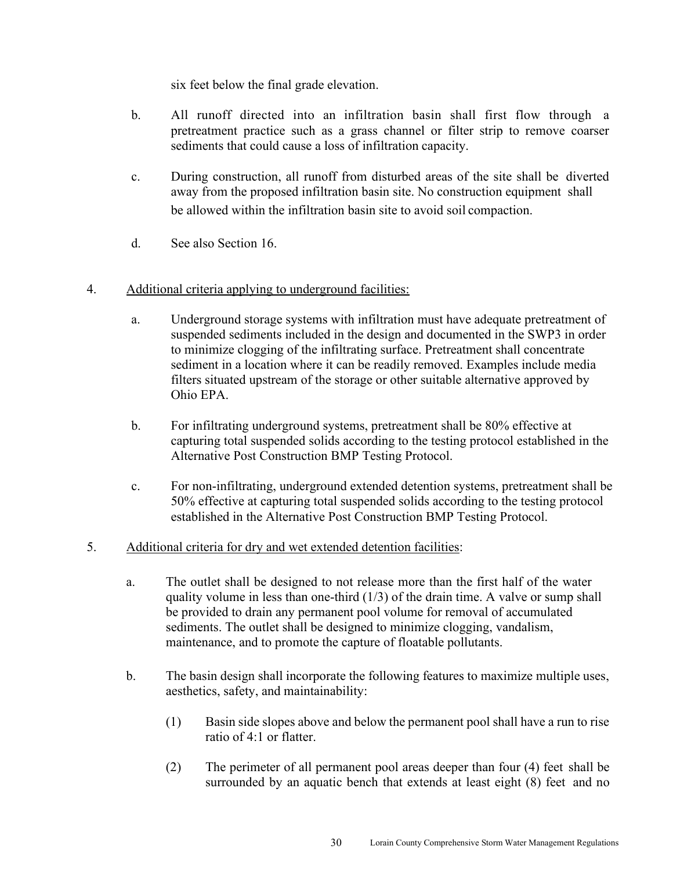six feet below the final grade elevation.

- b. All runoff directed into an infiltration basin shall first flow through a pretreatment practice such as a grass channel or filter strip to remove coarser sediments that could cause a loss of infiltration capacity.
- c. During construction, all runoff from disturbed areas of the site shall be diverted away from the proposed infiltration basin site. No construction equipment shall be allowed within the infiltration basin site to avoid soil compaction.
- d. See also Section 16.

#### 4. Additional criteria applying to underground facilities:

- a. Underground storage systems with infiltration must have adequate pretreatment of suspended sediments included in the design and documented in the SWP3 in order to minimize clogging of the infiltrating surface. Pretreatment shall concentrate sediment in a location where it can be readily removed. Examples include media filters situated upstream of the storage or other suitable alternative approved by Ohio EPA.
- b. For infiltrating underground systems, pretreatment shall be 80% effective at capturing total suspended solids according to the testing protocol established in the Alternative Post Construction BMP Testing Protocol.
- c. For non-infiltrating, underground extended detention systems, pretreatment shall be 50% effective at capturing total suspended solids according to the testing protocol established in the Alternative Post Construction BMP Testing Protocol.
- 5. Additional criteria for dry and wet extended detention facilities:
	- a. The outlet shall be designed to not release more than the first half of the water quality volume in less than one-third  $(1/3)$  of the drain time. A valve or sump shall be provided to drain any permanent pool volume for removal of accumulated sediments. The outlet shall be designed to minimize clogging, vandalism, maintenance, and to promote the capture of floatable pollutants.
	- b. The basin design shall incorporate the following features to maximize multiple uses, aesthetics, safety, and maintainability:
		- (1) Basin side slopes above and below the permanent pool shall have a run to rise ratio of 4:1 or flatter.
		- (2) The perimeter of all permanent pool areas deeper than four (4) feet shall be surrounded by an aquatic bench that extends at least eight (8) feet and no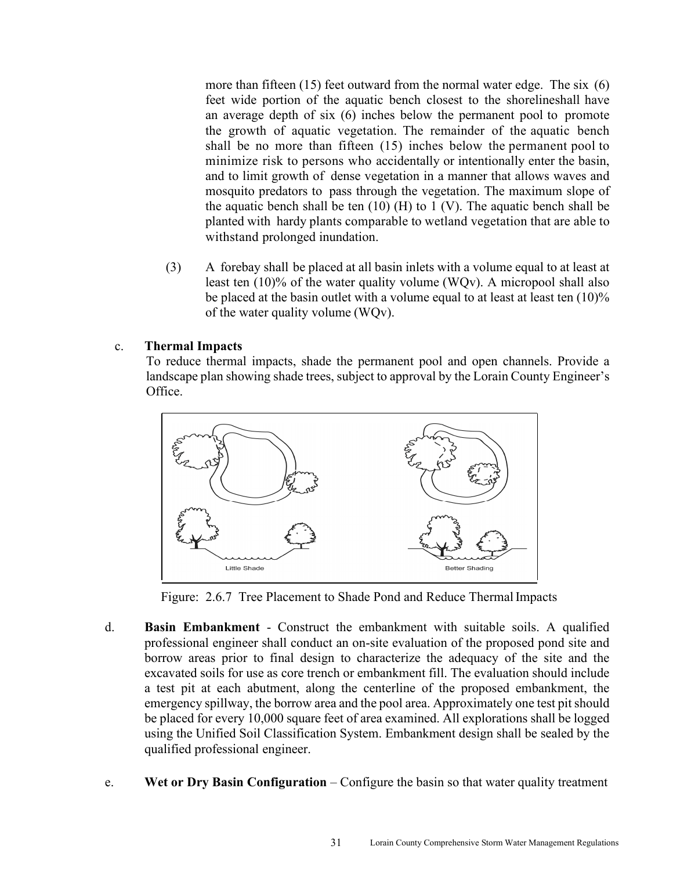more than fifteen (15) feet outward from the normal water edge. The six (6) feet wide portion of the aquatic bench closest to the shoreline shall have an average depth of six (6) inches below the permanent pool to promote the growth of aquatic vegetation. The remainder of the aquatic bench shall be no more than fifteen (15) inches below the permanent pool to minimize risk to persons who accidentally or intentionally enter the basin, and to limit growth of dense vegetation in a manner that allows waves and mosquito predators to pass through the vegetation. The maximum slope of the aquatic bench shall be ten  $(10)$  (H) to 1 (V). The aquatic bench shall be planted with hardy plants comparable to wetland vegetation that are able to withstand prolonged inundation.

(3) A forebay shall be placed at all basin inlets with a volume equal to at least at least ten (10)% of the water quality volume (WQv). A micropool shall also be placed at the basin outlet with a volume equal to at least at least ten  $(10)%$ of the water quality volume (WQv).

#### c. **Thermal Impacts**

To reduce thermal impacts, shade the permanent pool and open channels. Provide a landscape plan showing shade trees, subject to approval by the Lorain County Engineer's Office.



Figure: 2.6.7 Tree Placement to Shade Pond and Reduce Thermal Impacts

- d. **Basin Embankment** Construct the embankment with suitable soils. A qualified professional engineer shall conduct an on-site evaluation of the proposed pond site and borrow areas prior to final design to characterize the adequacy of the site and the excavated soils for use as core trench or embankment fill. The evaluation should include a test pit at each abutment, along the centerline of the proposed embankment, the emergency spillway, the borrow area and the pool area. Approximately one test pit should be placed for every 10,000 square feet of area examined. All explorations shall be logged using the Unified Soil Classification System. Embankment design shall be sealed by the qualified professional engineer.
- e. **Wet or Dry Basin Configuration** Configure the basin so that water quality treatment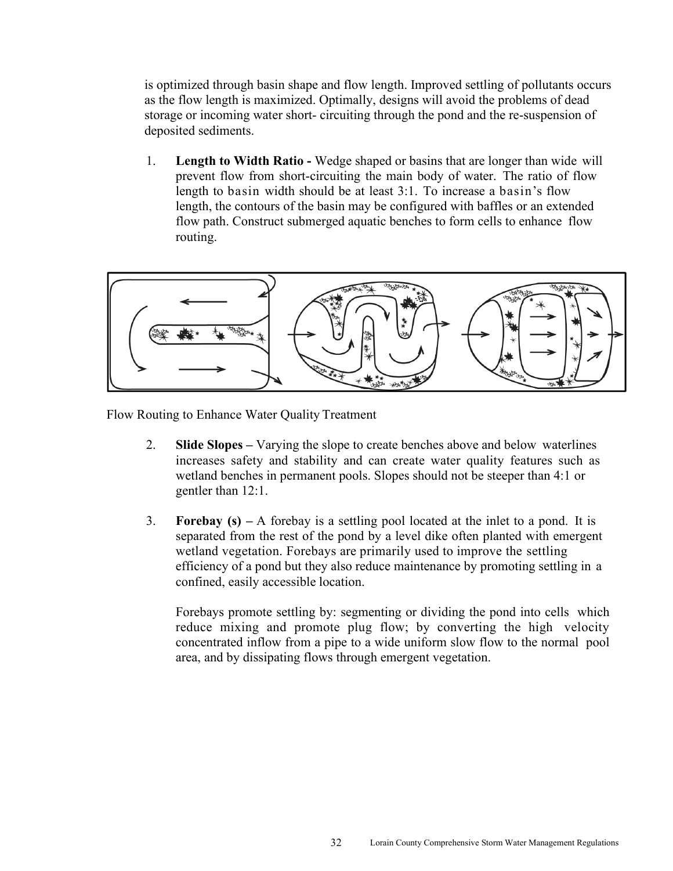is optimized through basin shape and flow length. Improved settling of pollutants occurs as the flow length is maximized. Optimally, designs will avoid the problems of dead storage or incoming water short- circuiting through the pond and the re-suspension of deposited sediments.

1. **Length to Width Ratio -** Wedge shaped or basins that are longer than wide will prevent flow from short-circuiting the main body of water. The ratio of flow length to basin width should be at least 3:1. To increase a basin's flow length, the contours of the basin may be configured with baffles or an extended flow path. Construct submerged aquatic benches to form cells to enhance flow routing.



Flow Routing to Enhance Water Quality Treatment

- 2. **Slide Slopes** Varying the slope to create benches above and below waterlines increases safety and stability and can create water quality features such as wetland benches in permanent pools. Slopes should not be steeper than 4:1 or gentler than 12:1.
- 3. **Forebay (s)** A forebay is a settling pool located at the inlet to a pond. It is separated from the rest of the pond by a level dike often planted with emergent wetland vegetation. Forebays are primarily used to improve the settling efficiency of a pond but they also reduce maintenance by promoting settling in a confined, easily accessible location.

Forebays promote settling by: segmenting or dividing the pond into cells which reduce mixing and promote plug flow; by converting the high velocity concentrated inflow from a pipe to a wide uniform slow flow to the normal pool area, and by dissipating flows through emergent vegetation.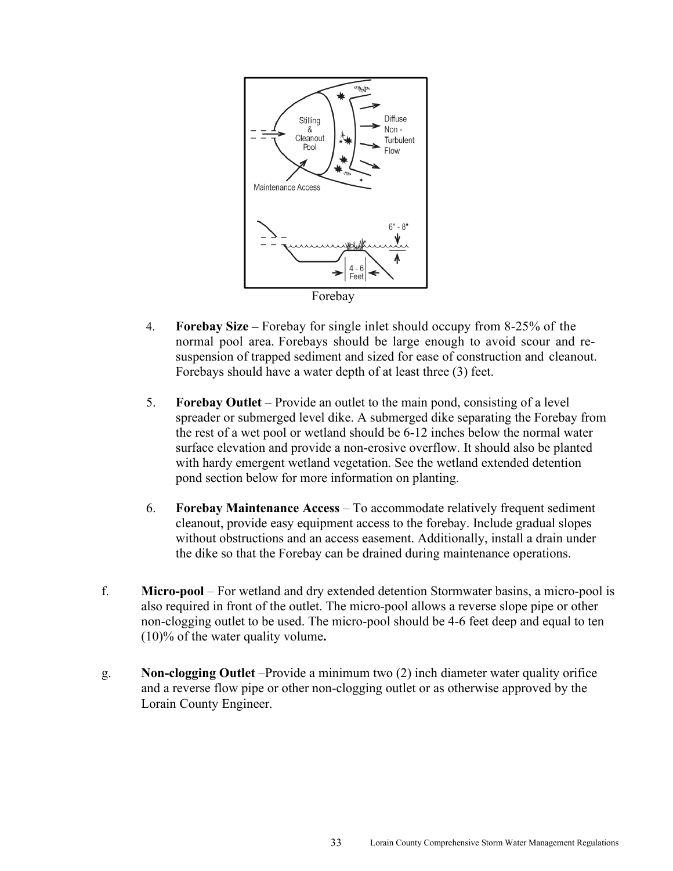

- 4. **Forebay Size** Forebay for single inlet should occupy from 8-25% of the normal pool area. Forebays should be large enough to avoid scour and resuspension of trapped sediment and sized for ease of construction and cleanout. Forebays should have a water depth of at least three (3) feet.
- 5. **Forebay Outlet** Provide an outlet to the main pond, consisting of a level spreader or submerged level dike. A submerged dike separating the Forebay from the rest of a wet pool or wetland should be 6-12 inches below the normal water surface elevation and provide a non-erosive overflow. It should also be planted with hardy emergent wetland vegetation. See the wetland extended detention pond section below for more information on planting.
- 6. **Forebay Maintenance Access** To accommodate relatively frequent sediment cleanout, provide easy equipment access to the forebay. Include gradual slopes without obstructions and an access easement. Additionally, install a drain under the dike so that the Forebay can be drained during maintenance operations.
- f. **Micro-pool**  For wetland and dry extended detention Stormwater basins, a micro-pool is also required in front of the outlet. The micro-pool allows a reverse slope pipe or other non-clogging outlet to be used. The micro-pool should be 4-6 feet deep and equal to ten (10)% of the water quality volume**.**
- g. **Non-clogging Outlet** –Provide a minimum two (2) inch diameter water quality orifice and a reverse flow pipe or other non-clogging outlet or as otherwise approved by the Lorain County Engineer.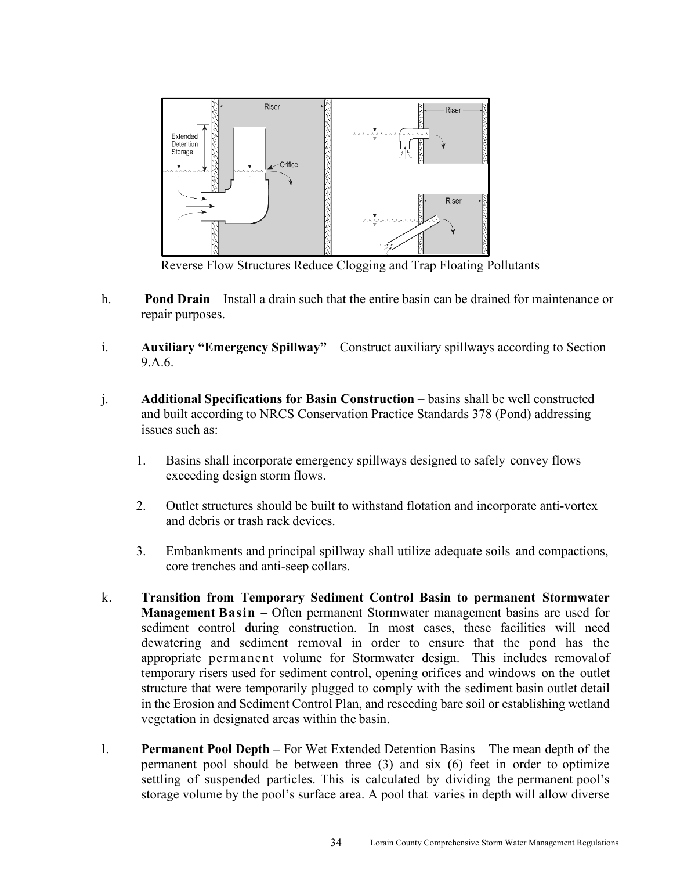

Reverse Flow Structures Reduce Clogging and Trap Floating Pollutants

- h. **Pond Drain**  Install a drain such that the entire basin can be drained for maintenance or repair purposes.
- i. **Auxiliary "Emergency Spillway"**  Construct auxiliary spillways according to Section 9.A.6.
- j. **Additional Specifications for Basin Construction**  basins shall be well constructed and built according to NRCS Conservation Practice Standards 378 (Pond) addressing issues such as:
	- 1. Basins shall incorporate emergency spillways designed to safely convey flows exceeding design storm flows.
	- 2. Outlet structures should be built to withstand flotation and incorporate anti-vortex and debris or trash rack devices.
	- 3. Embankments and principal spillway shall utilize adequate soils and compactions, core trenches and anti-seep collars.
- k. **Transition from Temporary Sediment Control Basin to permanent Stormwater Management Basin** *–* Often permanent Stormwater management basins are used for sediment control during construction. In most cases, these facilities will need dewatering and sediment removal in order to ensure that the pond has the appropriate permanent volume for Stormwater design. This includes removal of temporary risers used for sediment control, opening orifices and windows on the outlet structure that were temporarily plugged to comply with the sediment basin outlet detail in the Erosion and Sediment Control Plan, and reseeding bare soil or establishing wetland vegetation in designated areas within the basin.
- l. **Permanent Pool Depth** For Wet Extended Detention Basins The mean depth of the permanent pool should be between three (3) and six (6) feet in order to optimize settling of suspended particles. This is calculated by dividing the permanent pool's storage volume by the pool's surface area. A pool that varies in depth will allow diverse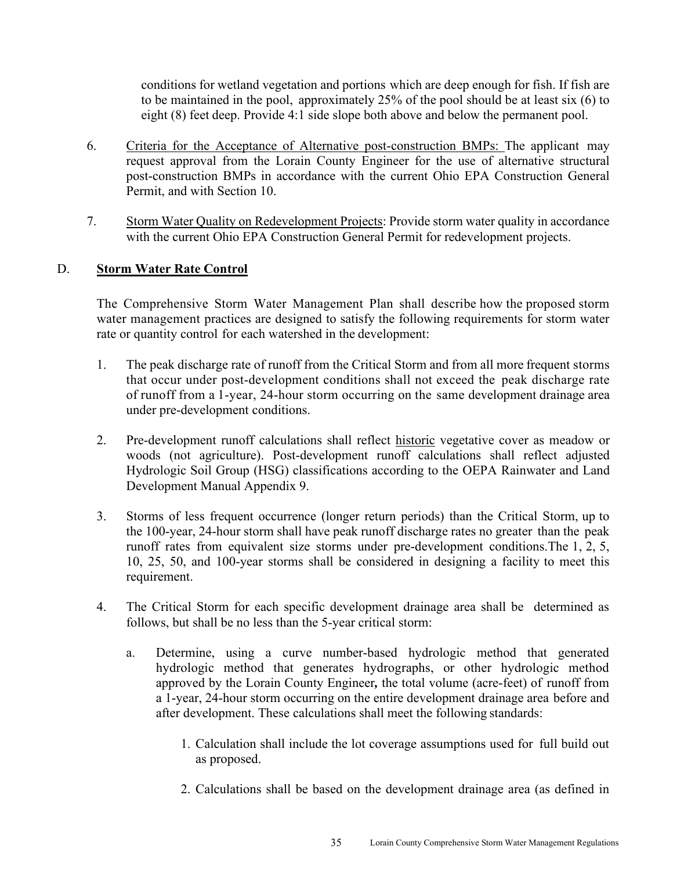conditions for wetland vegetation and portions which are deep enough for fish. If fish are to be maintained in the pool, approximately 25% of the pool should be at least six (6) to eight (8) feet deep. Provide 4:1 side slope both above and below the permanent pool.

- 6. Criteria for the Acceptance of Alternative post-construction BMPs: The applicant may request approval from the Lorain County Engineer for the use of alternative structural post-construction BMPs in accordance with the current Ohio EPA Construction General Permit, and with Section 10.
- 7. Storm Water Quality on Redevelopment Projects: Provide storm water quality in accordance with the current Ohio EPA Construction General Permit for redevelopment projects.

#### D. **Storm Water Rate Control**

The Comprehensive Storm Water Management Plan shall describe how the proposed storm water management practices are designed to satisfy the following requirements for storm water rate or quantity control for each watershed in the development:

- 1. The peak discharge rate of runoff from the Critical Storm and from all more frequent storms that occur under post-development conditions shall not exceed the peak discharge rate of runoff from a 1-year, 24-hour storm occurring on the same development drainage area under pre-development conditions.
- 2. Pre-development runoff calculations shall reflect historic vegetative cover as meadow or woods (not agriculture). Post-development runoff calculations shall reflect adjusted Hydrologic Soil Group (HSG) classifications according to the OEPA Rainwater and Land Development Manual Appendix 9.
- 3. Storms of less frequent occurrence (longer return periods) than the Critical Storm, up to the 100-year, 24-hour storm shall have peak runoff discharge rates no greater than the peak runoff rates from equivalent size storms under pre-development conditions. The 1, 2, 5, 10, 25, 50, and 100-year storms shall be considered in designing a facility to meet this requirement.
- 4. The Critical Storm for each specific development drainage area shall be determined as follows, but shall be no less than the 5-year critical storm:
	- a. Determine, using a curve number-based hydrologic method that generated hydrologic method that generates hydrographs, or other hydrologic method approved by the Lorain County Engineer*,* the total volume (acre-feet) of runoff from a 1-year, 24-hour storm occurring on the entire development drainage area before and after development. These calculations shall meet the following standards:
		- 1. Calculation shall include the lot coverage assumptions used for full build out as proposed.
		- 2. Calculations shall be based on the development drainage area (as defined in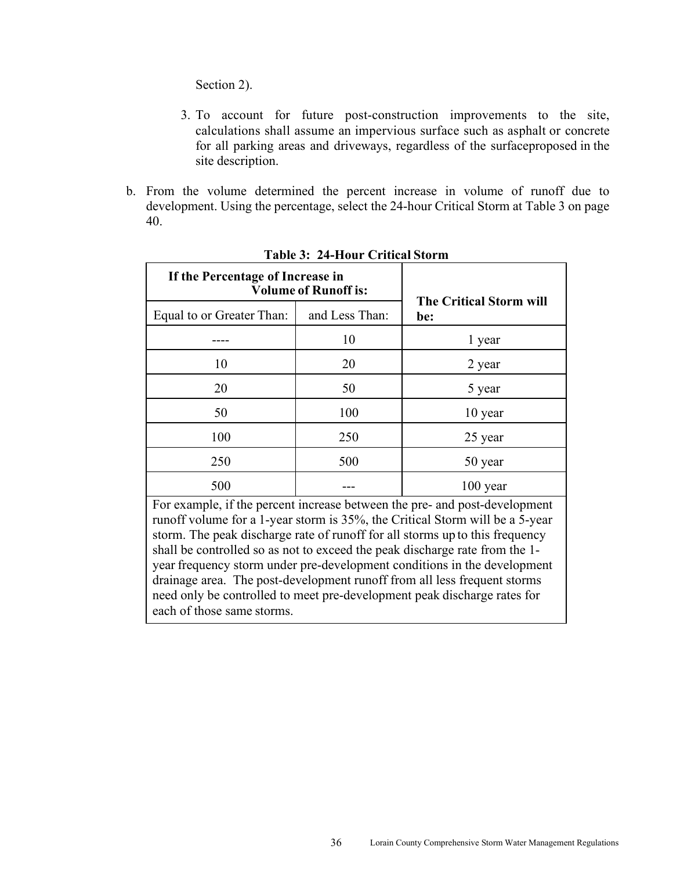Section 2).

- 3. To account for future post-construction improvements to the site, calculations shall assume an impervious surface such as asphalt or concrete for all parking areas and driveways, regardless of the surface proposed in the site description.
- b. From the volume determined the percent increase in volume of runoff due to development. Using the percentage, select the 24-hour Critical Storm at Table 3 on page 40.

| If the Percentage of Increase in<br><b>Volume of Runoff is:</b> |     |                                       |
|-----------------------------------------------------------------|-----|---------------------------------------|
| and Less Than:<br>Equal to or Greater Than:                     |     | <b>The Critical Storm will</b><br>be: |
|                                                                 | 10  | 1 year                                |
| 10                                                              | 20  | 2 year                                |
| 20                                                              | 50  | 5 year                                |
| 50                                                              | 100 | 10 year                               |
| 100                                                             | 250 | 25 year                               |
| 250                                                             | 500 | 50 year                               |
| 500                                                             |     | $100$ year                            |

**Table 3: 24-Hour Critical Storm**

For example, if the percent increase between the pre- and post-development runoff volume for a 1-year storm is 35%, the Critical Storm will be a 5-year storm. The peak discharge rate of runoff for all storms up to this frequency shall be controlled so as not to exceed the peak discharge rate from the 1 year frequency storm under pre-development conditions in the development drainage area. The post-development runoff from all less frequent storms need only be controlled to meet pre-development peak discharge rates for each of those same storms.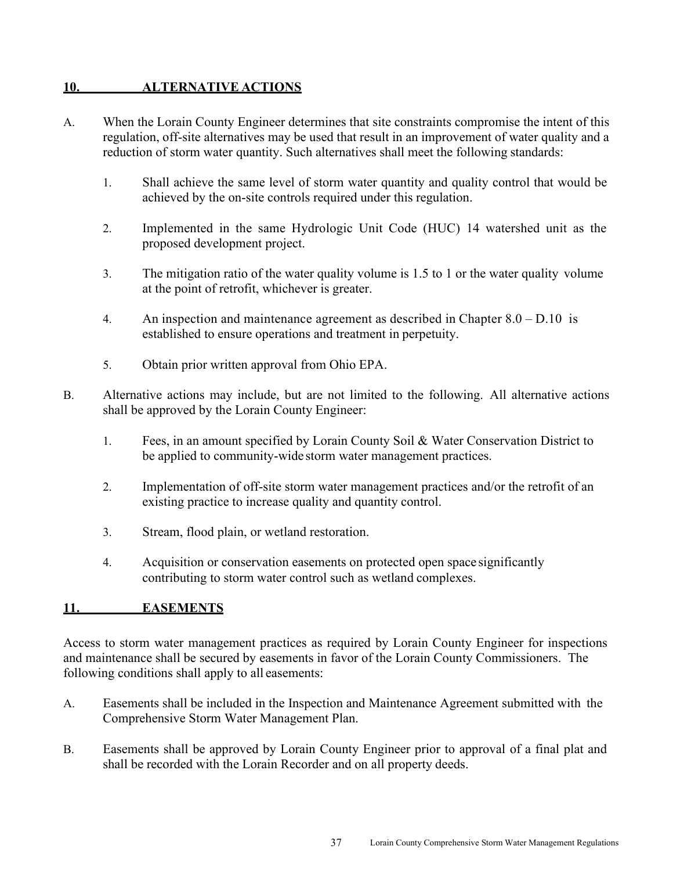#### **10. ALTERNATIVE ACTIONS**

- A. When the Lorain County Engineer determines that site constraints compromise the intent of this regulation, off-site alternatives may be used that result in an improvement of water quality and a reduction of storm water quantity. Such alternatives shall meet the following standards:
	- 1. Shall achieve the same level of storm water quantity and quality control that would be achieved by the on-site controls required under this regulation.
	- 2. Implemented in the same Hydrologic Unit Code (HUC) 14 watershed unit as the proposed development project.
	- 3. The mitigation ratio of the water quality volume is 1.5 to 1 or the water quality volume at the point of retrofit, whichever is greater.
	- 4. An inspection and maintenance agreement as described in Chapter  $8.0 D.10$  is established to ensure operations and treatment in perpetuity.
	- 5. Obtain prior written approval from Ohio EPA.
- B. Alternative actions may include, but are not limited to the following. All alternative actions shall be approved by the Lorain County Engineer:
	- 1. Fees, in an amount specified by Lorain County Soil & Water Conservation District to be applied to community-wide storm water management practices.
	- 2. Implementation of off-site storm water management practices and/or the retrofit of an existing practice to increase quality and quantity control.
	- 3. Stream, flood plain, or wetland restoration.
	- 4. Acquisition or conservation easements on protected open space significantly contributing to storm water control such as wetland complexes.

#### **11. EASEMENTS**

Access to storm water management practices as required by Lorain County Engineer for inspections and maintenance shall be secured by easements in favor of the Lorain County Commissioners. The following conditions shall apply to all easements:

- A. Easements shall be included in the Inspection and Maintenance Agreement submitted with the Comprehensive Storm Water Management Plan.
- B. Easements shall be approved by Lorain County Engineer prior to approval of a final plat and shall be recorded with the Lorain Recorder and on all property deeds.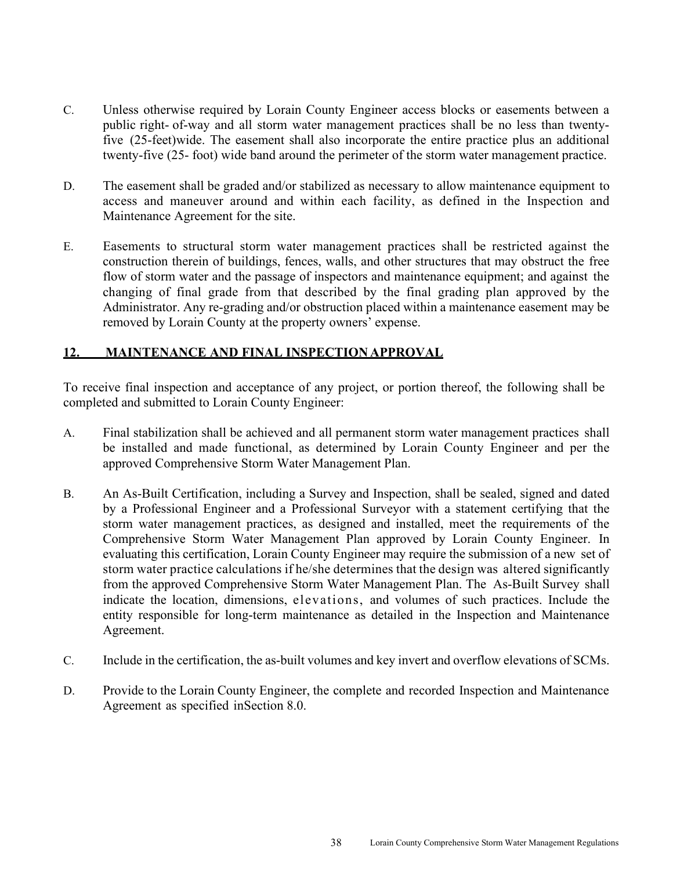- C. Unless otherwise required by Lorain County Engineer access blocks or easements between a public right- of-way and all storm water management practices shall be no less than twentyfive (25-feet) wide. The easement shall also incorporate the entire practice plus an additional twenty-five (25- foot) wide band around the perimeter of the storm water management practice.
- D. The easement shall be graded and/or stabilized as necessary to allow maintenance equipment to access and maneuver around and within each facility, as defined in the Inspection and Maintenance Agreement for the site.
- E. Easements to structural storm water management practices shall be restricted against the construction therein of buildings, fences, walls, and other structures that may obstruct the free flow of storm water and the passage of inspectors and maintenance equipment; and against the changing of final grade from that described by the final grading plan approved by the Administrator. Any re-grading and/or obstruction placed within a maintenance easement may be removed by Lorain County at the property owners' expense.

#### **12. MAINTENANCE AND FINAL INSPECTION APPROVAL**

To receive final inspection and acceptance of any project, or portion thereof, the following shall be completed and submitted to Lorain County Engineer:

- A. Final stabilization shall be achieved and all permanent storm water management practices shall be installed and made functional, as determined by Lorain County Engineer and per the approved Comprehensive Storm Water Management Plan.
- B. An As-Built Certification, including a Survey and Inspection, shall be sealed, signed and dated by a Professional Engineer and a Professional Surveyor with a statement certifying that the storm water management practices, as designed and installed, meet the requirements of the Comprehensive Storm Water Management Plan approved by Lorain County Engineer. In evaluating this certification, Lorain County Engineer may require the submission of a new set of storm water practice calculations if he/she determines that the design was altered significantly from the approved Comprehensive Storm Water Management Plan. The As-Built Survey shall indicate the location, dimensions, elevations, and volumes of such practices. Include the entity responsible for long-term maintenance as detailed in the Inspection and Maintenance Agreement.
- C. Include in the certification, the as-built volumes and key invert and overflow elevations of SCMs.
- D. Provide to the Lorain County Engineer, the complete and recorded Inspection and Maintenance Agreement as specified in Section 8.0.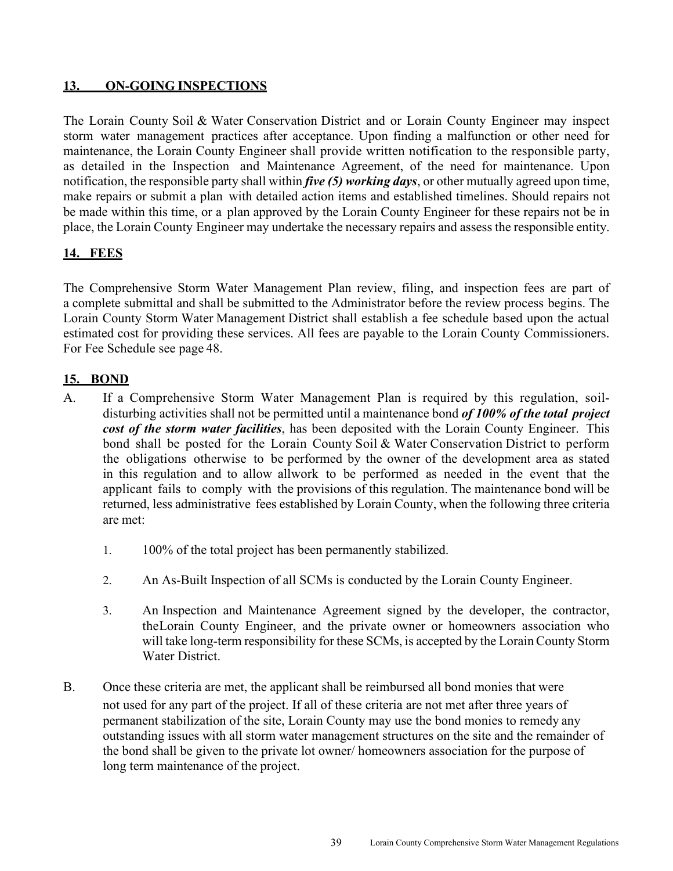### **13. ON-GOING INSPECTIONS**

The Lorain County Soil & Water Conservation District and or Lorain County Engineer may inspect storm water management practices after acceptance. Upon finding a malfunction or other need for maintenance, the Lorain County Engineer shall provide written notification to the responsible party, as detailed in the Inspection and Maintenance Agreement, of the need for maintenance. Upon notification, the responsible party shall within *five (5) working days*, or other mutually agreed upon time, make repairs or submit a plan with detailed action items and established timelines. Should repairs not be made within this time, or a plan approved by the Lorain County Engineer for these repairs not be in place, the Lorain County Engineer may undertake the necessary repairs and assess the responsible entity.

## **14. FEES**

The Comprehensive Storm Water Management Plan review, filing, and inspection fees are part of a complete submittal and shall be submitted to the Administrator before the review process begins. The Lorain County Storm Water Management District shall establish a fee schedule based upon the actual estimated cost for providing these services. All fees are payable to the Lorain County Commissioners. For Fee Schedule see page 48.

#### **15. BOND**

- A. If a Comprehensive Storm Water Management Plan is required by this regulation, soildisturbing activities shall not be permitted until a maintenance bond *of 100% of the total project cost of the storm water facilities*, has been deposited with the Lorain County Engineer. This bond shall be posted for the Lorain County Soil & Water Conservation District to perform the obligations otherwise to be performed by the owner of the development area as stated in this regulation and to allow allwork to be performed as needed in the event that the applicant fails to comply with the provisions of this regulation. The maintenance bond will be returned, less administrative fees established by Lorain County, when the following three criteria are met:
	- 1. 100% of the total project has been permanently stabilized.
	- 2. An As-Built Inspection of all SCMs is conducted by the Lorain County Engineer.
	- 3. An Inspection and Maintenance Agreement signed by the developer, the contractor, the Lorain County Engineer, and the private owner or homeowners association who will take long-term responsibility for these SCMs, is accepted by the Lorain County Storm Water District.
- B. Once these criteria are met, the applicant shall be reimbursed all bond monies that were not used for any part of the project. If all of these criteria are not met after three years of permanent stabilization of the site, Lorain County may use the bond monies to remedy any outstanding issues with all storm water management structures on the site and the remainder of the bond shall be given to the private lot owner/ homeowners association for the purpose of long term maintenance of the project.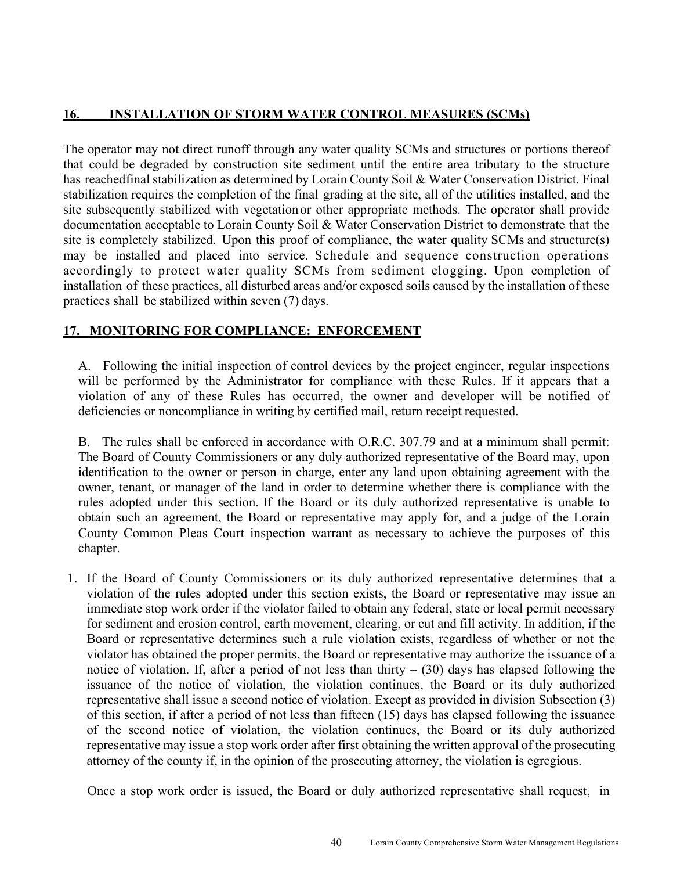#### **16. INSTALLATION OF STORM WATER CONTROL MEASURES (SCMs)**

The operator may not direct runoff through any water quality SCMs and structures or portions thereof that could be degraded by construction site sediment until the entire area tributary to the structure has reached final stabilization as determined by Lorain County Soil & Water Conservation District. Final stabilization requires the completion of the final grading at the site, all of the utilities installed, and the site subsequently stabilized with vegetation or other appropriate methods. The operator shall provide documentation acceptable to Lorain County Soil & Water Conservation District to demonstrate that the site is completely stabilized. Upon this proof of compliance, the water quality SCMs and structure(s) may be installed and placed into service. Schedule and sequence construction operations accordingly to protect water quality SCMs from sediment clogging. Upon completion of installation of these practices, all disturbed areas and/or exposed soils caused by the installation of these practices shall be stabilized within seven (7) days.

#### **17. MONITORING FOR COMPLIANCE: ENFORCEMENT**

A. Following the initial inspection of control devices by the project engineer, regular inspections will be performed by the Administrator for compliance with these Rules. If it appears that a violation of any of these Rules has occurred, the owner and developer will be notified of deficiencies or noncompliance in writing by certified mail, return receipt requested.

B. The rules shall be enforced in accordance with O.R.C. 307.79 and at a minimum shall permit: The Board of County Commissioners or any duly authorized representative of the Board may, upon identification to the owner or person in charge, enter any land upon obtaining agreement with the owner, tenant, or manager of the land in order to determine whether there is compliance with the rules adopted under this section. If the Board or its duly authorized representative is unable to obtain such an agreement, the Board or representative may apply for, and a judge of the Lorain County Common Pleas Court inspection warrant as necessary to achieve the purposes of this chapter.

1. If the Board of County Commissioners or its duly authorized representative determines that a violation of the rules adopted under this section exists, the Board or representative may issue an immediate stop work order if the violator failed to obtain any federal, state or local permit necessary for sediment and erosion control, earth movement, clearing, or cut and fill activity. In addition, if the Board or representative determines such a rule violation exists, regardless of whether or not the violator has obtained the proper permits, the Board or representative may authorize the issuance of a notice of violation. If, after a period of not less than thirty  $-$  (30) days has elapsed following the issuance of the notice of violation, the violation continues, the Board or its duly authorized representative shall issue a second notice of violation. Except as provided in division Subsection (3) of this section, if after a period of not less than fifteen (15) days has elapsed following the issuance of the second notice of violation, the violation continues, the Board or its duly authorized representative may issue a stop work order after first obtaining the written approval of the prosecuting attorney of the county if, in the opinion of the prosecuting attorney, the violation is egregious.

Once a stop work order is issued, the Board or duly authorized representative shall request, in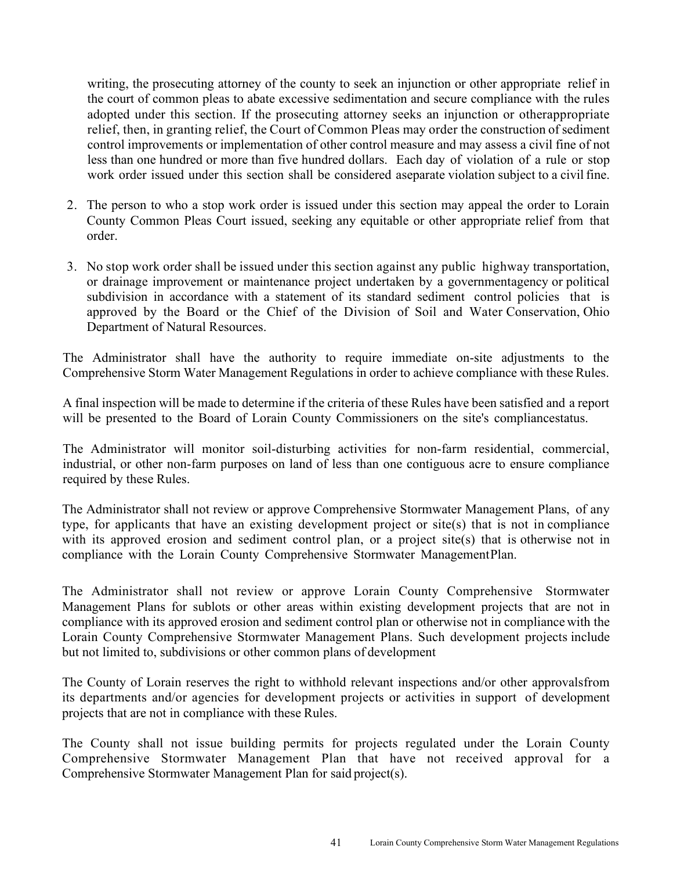writing, the prosecuting attorney of the county to seek an injunction or other appropriate relief in the court of common pleas to abate excessive sedimentation and secure compliance with the rules adopted under this section. If the prosecuting attorney seeks an injunction or other appropriate relief, then, in granting relief, the Court of Common Pleas may order the construction of sediment control improvements or implementation of other control measure and may assess a civil fine of not less than one hundred or more than five hundred dollars. Each day of violation of a rule or stop work order issued under this section shall be considered a separate violation subject to a civil fine.

- 2. The person to who a stop work order is issued under this section may appeal the order to Lorain County Common Pleas Court issued, seeking any equitable or other appropriate relief from that order.
- 3. No stop work order shall be issued under this section against any public highway transportation, or drainage improvement or maintenance project undertaken by a government agency or political subdivision in accordance with a statement of its standard sediment control policies that is approved by the Board or the Chief of the Division of Soil and Water Conservation, Ohio Department of Natural Resources.

The Administrator shall have the authority to require immediate on-site adjustments to the Comprehensive Storm Water Management Regulations in order to achieve compliance with these Rules.

A final inspection will be made to determine if the criteria of these Rules have been satisfied and a report will be presented to the Board of Lorain County Commissioners on the site's compliance status.

The Administrator will monitor soil-disturbing activities for non-farm residential, commercial, industrial, or other non-farm purposes on land of less than one contiguous acre to ensure compliance required by these Rules.

The Administrator shall not review or approve Comprehensive Stormwater Management Plans, of any type, for applicants that have an existing development project or site(s) that is not in compliance with its approved erosion and sediment control plan, or a project site(s) that is otherwise not in compliance with the Lorain County Comprehensive Stormwater Management Plan.

The Administrator shall not review or approve Lorain County Comprehensive Stormwater Management Plans for sublots or other areas within existing development projects that are not in compliance with its approved erosion and sediment control plan or otherwise not in compliance with the Lorain County Comprehensive Stormwater Management Plans. Such development projects include but not limited to, subdivisions or other common plans of development

The County of Lorain reserves the right to withhold relevant inspections and/or other approvals from its departments and/or agencies for development projects or activities in support of development projects that are not in compliance with these Rules.

The County shall not issue building permits for projects regulated under the Lorain County Comprehensive Stormwater Management Plan that have not received approval for a Comprehensive Stormwater Management Plan for said project(s).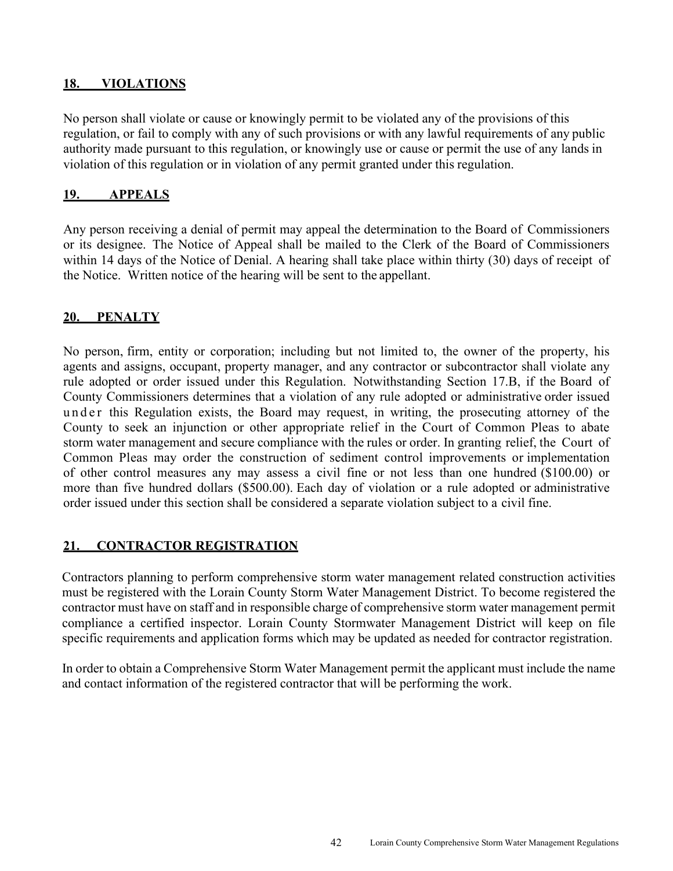#### **18. VIOLATIONS**

No person shall violate or cause or knowingly permit to be violated any of the provisions of this regulation, or fail to comply with any of such provisions or with any lawful requirements of any public authority made pursuant to this regulation, or knowingly use or cause or permit the use of any lands in violation of this regulation or in violation of any permit granted under this regulation.

#### **19. APPEALS**

Any person receiving a denial of permit may appeal the determination to the Board of Commissioners or its designee. The Notice of Appeal shall be mailed to the Clerk of the Board of Commissioners within 14 days of the Notice of Denial. A hearing shall take place within thirty (30) days of receipt of the Notice. Written notice of the hearing will be sent to the appellant.

#### **20. PENALTY**

No person, firm, entity or corporation; including but not limited to, the owner of the property, his agents and assigns, occupant, property manager, and any contractor or subcontractor shall violate any rule adopted or order issued under this Regulation. Notwithstanding Section 17.B, if the Board of County Commissioners determines that a violation of any rule adopted or administrative order issued under this Regulation exists, the Board may request, in writing, the prosecuting attorney of the County to seek an injunction or other appropriate relief in the Court of Common Pleas to abate storm water management and secure compliance with the rules or order. In granting relief, the Court of Common Pleas may order the construction of sediment control improvements or implementation of other control measures any may assess a civil fine or not less than one hundred (\$100.00) or more than five hundred dollars (\$500.00). Each day of violation or a rule adopted or administrative order issued under this section shall be considered a separate violation subject to a civil fine.

#### **21. CONTRACTOR REGISTRATION**

Contractors planning to perform comprehensive storm water management related construction activities must be registered with the Lorain County Storm Water Management District. To become registered the contractor must have on staff and in responsible charge of comprehensive storm water management permit compliance a certified inspector. Lorain County Stormwater Management District will keep on file specific requirements and application forms which may be updated as needed for contractor registration.

In order to obtain a Comprehensive Storm Water Management permit the applicant must include the name and contact information of the registered contractor that will be performing the work.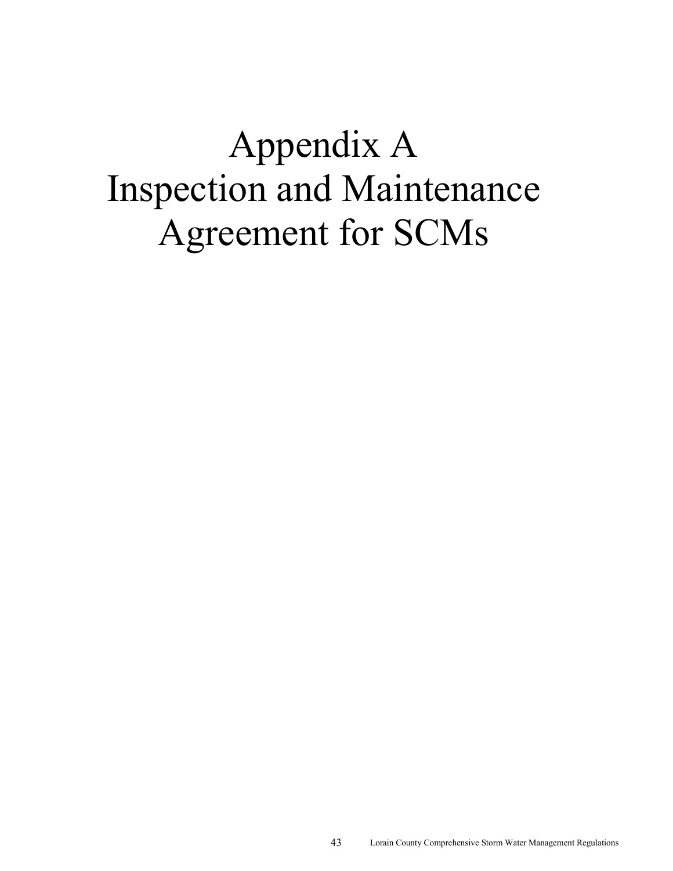# Appendix A Inspection and Maintenance Agreement for SCMs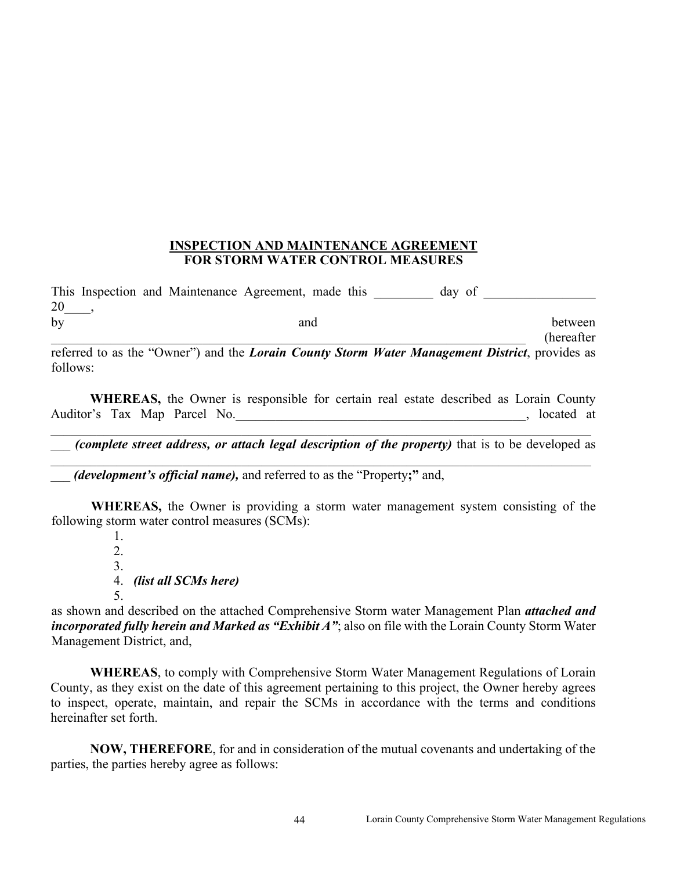#### **INSPECTION AND MAINTENANCE AGREEMENT FOR STORM WATER CONTROL MEASURES**

This Inspection and Maintenance Agreement, made this day of \_\_\_\_\_\_\_\_\_\_\_\_\_\_ 20\_\_\_\_, by and between

\_\_\_\_\_\_\_\_\_\_\_\_\_\_\_\_\_\_\_\_\_\_\_\_\_\_\_\_\_\_\_\_\_\_\_\_\_\_\_\_\_\_\_\_\_\_\_\_\_\_\_\_\_\_\_\_\_\_\_\_\_\_\_\_\_\_\_\_\_\_\_\_ (hereafter referred to as the "Owner") and the *Lorain County Storm Water Management District*, provides as follows:

**WHEREAS,** the Owner is responsible for certain real estate described as Lorain County Auditor's Tax Map Parcel No. **Exercise 2018** Auditor's Tax Map Parcel No.

\_\_\_ *(complete street address, or attach legal description of the property)* that is to be developed as \_\_\_\_\_\_\_\_\_\_\_\_\_\_\_\_\_\_\_\_\_\_\_\_\_\_\_\_\_\_\_\_\_\_\_\_\_\_\_\_\_\_\_\_\_\_\_\_\_\_\_\_\_\_\_\_\_\_\_\_\_\_\_\_\_\_\_\_\_\_\_\_\_\_\_\_\_\_\_\_\_\_

\_\_\_ *(development's official name),* and referred to as the "Property**;"** and,

**WHEREAS,** the Owner is providing a storm water management system consisting of the following storm water control measures (SCMs):

> 1. 2. 3. 4. *(list all SCMs here)* 5.

as shown and described on the attached Comprehensive Storm water Management Plan *attached and incorporated fully herein and Marked as "Exhibit A"*; also on file with the Lorain County Storm Water Management District, and,

**WHEREAS**, to comply with Comprehensive Storm Water Management Regulations of Lorain County, as they exist on the date of this agreement pertaining to this project, the Owner hereby agrees to inspect, operate, maintain, and repair the SCMs in accordance with the terms and conditions hereinafter set forth.

**NOW, THEREFORE**, for and in consideration of the mutual covenants and undertaking of the parties, the parties hereby agree as follows: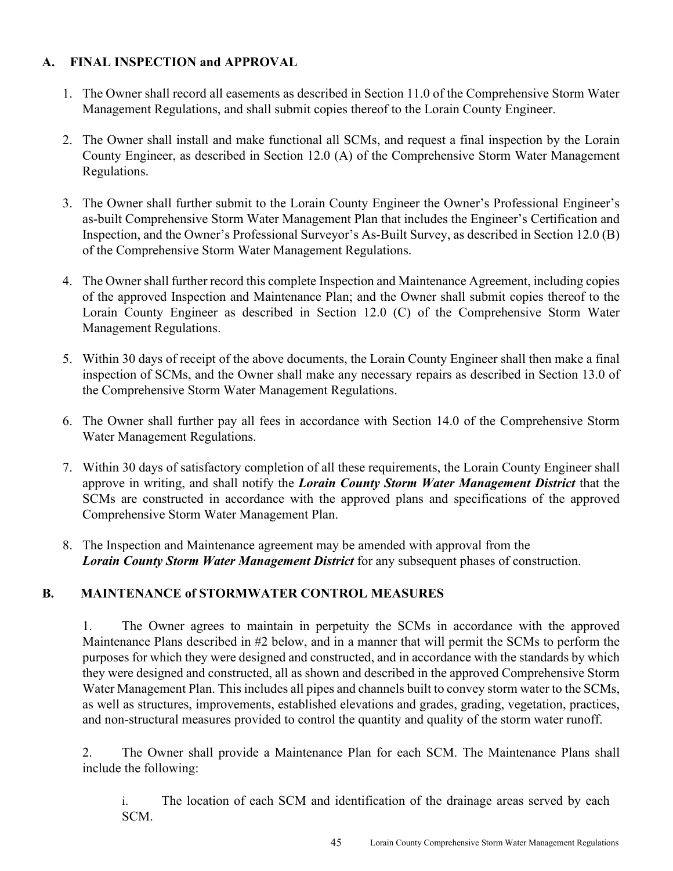### **A. FINAL INSPECTION and APPROVAL**

- 1. The Owner shall record all easements as described in Section 11.0 of the Comprehensive Storm Water Management Regulations, and shall submit copies thereof to the Lorain County Engineer.
- 2. The Owner shall install and make functional all SCMs, and request a final inspection by the Lorain County Engineer, as described in Section 12.0 (A) of the Comprehensive Storm Water Management Regulations.
- 3. The Owner shall further submit to the Lorain County Engineer the Owner's Professional Engineer's as-built Comprehensive Storm Water Management Plan that includes the Engineer's Certification and Inspection, and the Owner's Professional Surveyor's As-Built Survey, as described in Section 12.0 (B) of the Comprehensive Storm Water Management Regulations.
- 4. The Owner shall further record this complete Inspection and Maintenance Agreement, including copies of the approved Inspection and Maintenance Plan; and the Owner shall submit copies thereof to the Lorain County Engineer as described in Section 12.0 (C) of the Comprehensive Storm Water Management Regulations.
- 5. Within 30 days of receipt of the above documents, the Lorain County Engineer shall then make a final inspection of SCMs, and the Owner shall make any necessary repairs as described in Section 13.0 of the Comprehensive Storm Water Management Regulations.
- 6. The Owner shall further pay all fees in accordance with Section 14.0 of the Comprehensive Storm Water Management Regulations.
- 7. Within 30 days of satisfactory completion of all these requirements, the Lorain County Engineer shall approve in writing, and shall notify the *Lorain County Storm Water Management District* that the SCMs are constructed in accordance with the approved plans and specifications of the approved Comprehensive Storm Water Management Plan.
- 8. The Inspection and Maintenance agreement may be amended with approval from the *Lorain County Storm Water Management District* for any subsequent phases of construction.

## **B. MAINTENANCE of STORMWATER CONTROL MEASURES**

1. The Owner agrees to maintain in perpetuity the SCMs in accordance with the approved Maintenance Plans described in #2 below, and in a manner that will permit the SCMs to perform the purposes for which they were designed and constructed, and in accordance with the standards by which they were designed and constructed, all as shown and described in the approved Comprehensive Storm Water Management Plan. This includes all pipes and channels built to convey storm water to the SCMs, as well as structures, improvements, established elevations and grades, grading, vegetation, practices, and non-structural measures provided to control the quantity and quality of the storm water runoff.

2. The Owner shall provide a Maintenance Plan for each SCM. The Maintenance Plans shall include the following:

i. The location of each SCM and identification of the drainage areas served by each SCM.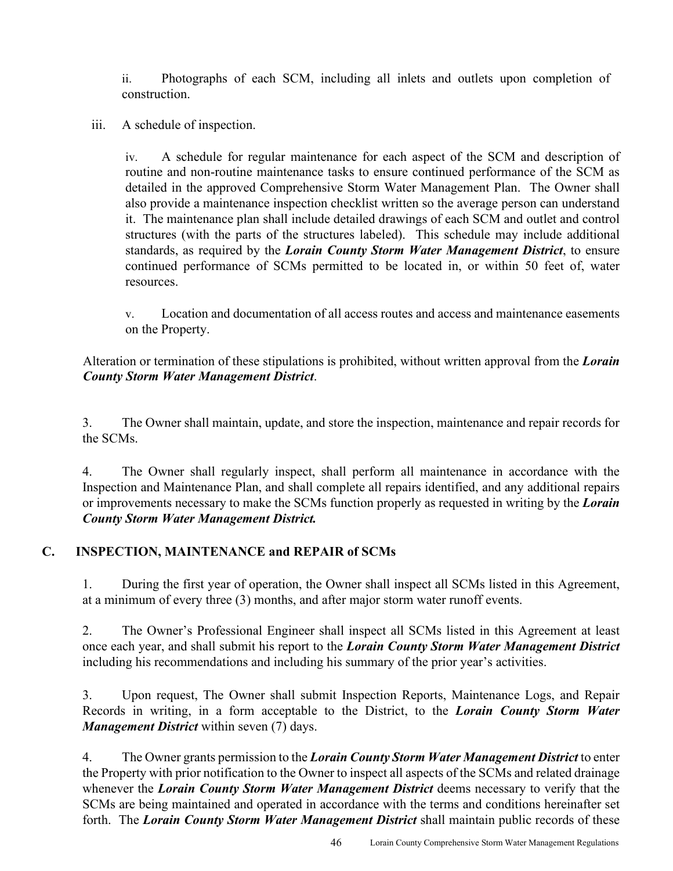ii. Photographs of each SCM, including all inlets and outlets upon completion of construction.

iii. A schedule of inspection.

iv. A schedule for regular maintenance for each aspect of the SCM and description of routine and non-routine maintenance tasks to ensure continued performance of the SCM as detailed in the approved Comprehensive Storm Water Management Plan. The Owner shall also provide a maintenance inspection checklist written so the average person can understand it. The maintenance plan shall include detailed drawings of each SCM and outlet and control structures (with the parts of the structures labeled). This schedule may include additional standards, as required by the *Lorain County Storm Water Management District*, to ensure continued performance of SCMs permitted to be located in, or within 50 feet of, water resources.

v. Location and documentation of all access routes and access and maintenance easements on the Property.

Alteration or termination of these stipulations is prohibited, without written approval from the *Lorain County Storm Water Management District*.

3. The Owner shall maintain, update, and store the inspection, maintenance and repair records for the SCMs.

4. The Owner shall regularly inspect, shall perform all maintenance in accordance with the Inspection and Maintenance Plan, and shall complete all repairs identified, and any additional repairs or improvements necessary to make the SCMs function properly as requested in writing by the *Lorain County Storm Water Management District.*

## **C. INSPECTION, MAINTENANCE and REPAIR of SCMs**

1. During the first year of operation, the Owner shall inspect all SCMs listed in this Agreement, at a minimum of every three (3) months, and after major storm water runoff events.

2. The Owner's Professional Engineer shall inspect all SCMs listed in this Agreement at least once each year, and shall submit his report to the *Lorain County Storm Water Management District*  including his recommendations and including his summary of the prior year's activities.

3. Upon request, The Owner shall submit Inspection Reports, Maintenance Logs, and Repair Records in writing, in a form acceptable to the District, to the *Lorain County Storm Water Management District* within seven (7) days.

4. The Owner grants permission to the *Lorain County Storm Water Management District* to enter the Property with prior notification to the Owner to inspect all aspects of the SCMs and related drainage whenever the *Lorain County Storm Water Management District* deems necessary to verify that the SCMs are being maintained and operated in accordance with the terms and conditions hereinafter set forth. The *Lorain County Storm Water Management District* shall maintain public records of these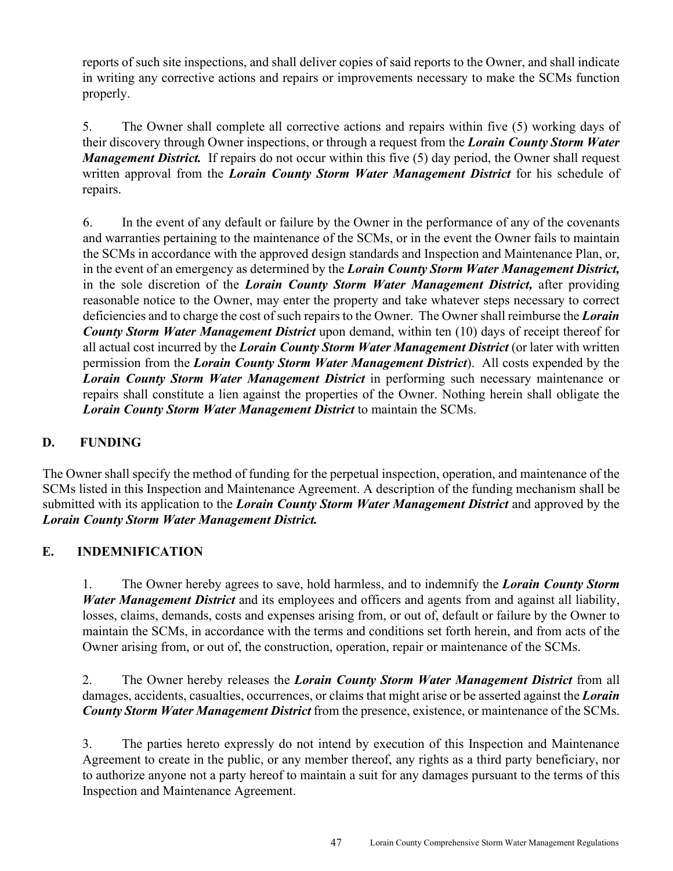reports of such site inspections, and shall deliver copies of said reports to the Owner, and shall indicate in writing any corrective actions and repairs or improvements necessary to make the SCMs function properly.

5. The Owner shall complete all corrective actions and repairs within five (5) working days of their discovery through Owner inspections, or through a request from the *Lorain County Storm Water Management District.* If repairs do not occur within this five (5) day period, the Owner shall request written approval from the *Lorain County Storm Water Management District* for his schedule of repairs.

6. In the event of any default or failure by the Owner in the performance of any of the covenants and warranties pertaining to the maintenance of the SCMs, or in the event the Owner fails to maintain the SCMs in accordance with the approved design standards and Inspection and Maintenance Plan, or, in the event of an emergency as determined by the *Lorain County Storm Water Management District,*  in the sole discretion of the *Lorain County Storm Water Management District,* after providing reasonable notice to the Owner, may enter the property and take whatever steps necessary to correct deficiencies and to charge the cost of such repairs to the Owner. The Owner shall reimburse the *Lorain County Storm Water Management District* upon demand, within ten (10) days of receipt thereof for all actual cost incurred by the *Lorain County Storm Water Management District* (or later with written permission from the *Lorain County Storm Water Management District*). All costs expended by the *Lorain County Storm Water Management District* in performing such necessary maintenance or repairs shall constitute a lien against the properties of the Owner. Nothing herein shall obligate the *Lorain County Storm Water Management District* to maintain the SCMs.

## **D. FUNDING**

The Owner shall specify the method of funding for the perpetual inspection, operation, and maintenance of the SCMs listed in this Inspection and Maintenance Agreement. A description of the funding mechanism shall be submitted with its application to the *Lorain County Storm Water Management District* and approved by the *Lorain County Storm Water Management District.* 

#### **E. INDEMNIFICATION**

1. The Owner hereby agrees to save, hold harmless, and to indemnify the *Lorain County Storm Water Management District* and its employees and officers and agents from and against all liability, losses, claims, demands, costs and expenses arising from, or out of, default or failure by the Owner to maintain the SCMs, in accordance with the terms and conditions set forth herein, and from acts of the Owner arising from, or out of, the construction, operation, repair or maintenance of the SCMs.

2. The Owner hereby releases the *Lorain County Storm Water Management District* from all damages, accidents, casualties, occurrences, or claims that might arise or be asserted against the *Lorain County Storm Water Management District* from the presence, existence, or maintenance of the SCMs.

3. The parties hereto expressly do not intend by execution of this Inspection and Maintenance Agreement to create in the public, or any member thereof, any rights as a third party beneficiary, nor to authorize anyone not a party hereof to maintain a suit for any damages pursuant to the terms of this Inspection and Maintenance Agreement.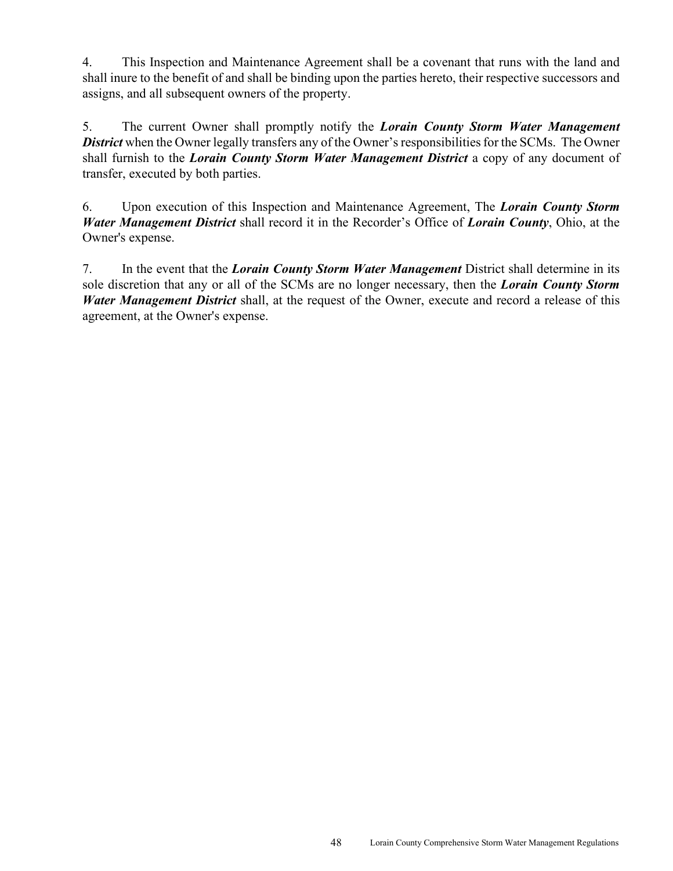4. This Inspection and Maintenance Agreement shall be a covenant that runs with the land and shall inure to the benefit of and shall be binding upon the parties hereto, their respective successors and assigns, and all subsequent owners of the property.

5. The current Owner shall promptly notify the *Lorain County Storm Water Management District* when the Owner legally transfers any of the Owner's responsibilities for the SCMs. The Owner shall furnish to the *Lorain County Storm Water Management District* a copy of any document of transfer, executed by both parties.

6. Upon execution of this Inspection and Maintenance Agreement, The *Lorain County Storm Water Management District* shall record it in the Recorder's Office of *Lorain County*, Ohio, at the Owner's expense.

7. In the event that the *Lorain County Storm Water Management* District shall determine in its sole discretion that any or all of the SCMs are no longer necessary, then the *Lorain County Storm Water Management District* shall, at the request of the Owner, execute and record a release of this agreement, at the Owner's expense.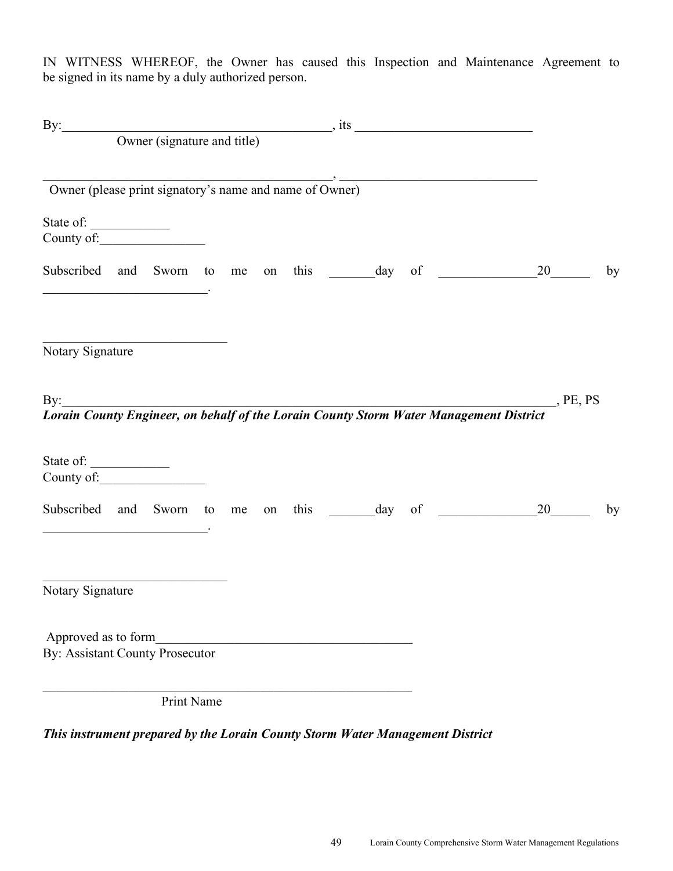IN WITNESS WHEREOF, the Owner has caused this Inspection and Maintenance Agreement to be signed in its name by a duly authorized person.

|                                                                                                                                                   |            |  |  |  | By: Owner (signature and title) state of the state of the state of the state of the state of the state of the state of the state of the state of the state of the state of the state of the state of the state of the state of |                   |    |
|---------------------------------------------------------------------------------------------------------------------------------------------------|------------|--|--|--|--------------------------------------------------------------------------------------------------------------------------------------------------------------------------------------------------------------------------------|-------------------|----|
| Owner (please print signatory's name and name of Owner)                                                                                           |            |  |  |  |                                                                                                                                                                                                                                |                   |    |
| State of:                                                                                                                                         |            |  |  |  |                                                                                                                                                                                                                                |                   |    |
| Subscribed and Sworn to me<br><u> 2002 - Jan James James Barbara, president eta provincia eta presidente eta provincia eta presidente eta pre</u> |            |  |  |  |                                                                                                                                                                                                                                |                   | by |
| Notary Signature                                                                                                                                  |            |  |  |  |                                                                                                                                                                                                                                |                   |    |
| By: $\qquad \qquad$                                                                                                                               |            |  |  |  | By:<br>Lorain County Engineer, on behalf of the Lorain County Storm Water Management District                                                                                                                                  | $P_{\rm E, PS}$   |    |
| State of:<br>County of:                                                                                                                           |            |  |  |  |                                                                                                                                                                                                                                |                   |    |
| Subscribed and Sworn to me                                                                                                                        |            |  |  |  |                                                                                                                                                                                                                                | on this day of 20 | by |
| Notary Signature                                                                                                                                  |            |  |  |  |                                                                                                                                                                                                                                |                   |    |
| Approved as to form<br><b>By: Assistant County Prosecutor</b>                                                                                     |            |  |  |  |                                                                                                                                                                                                                                |                   |    |
|                                                                                                                                                   | Print Name |  |  |  |                                                                                                                                                                                                                                |                   |    |

*This instrument prepared by the Lorain County Storm Water Management District*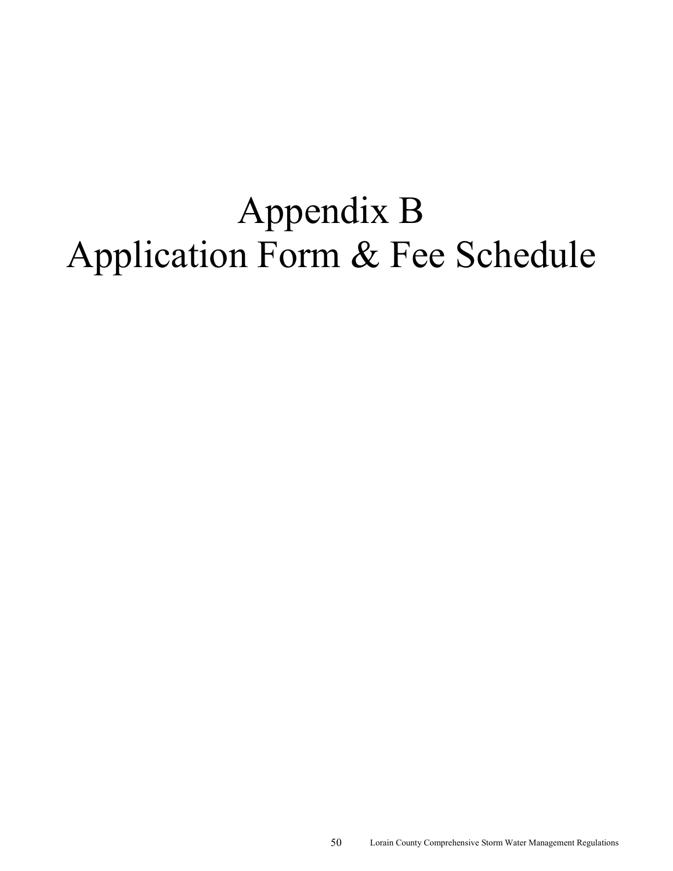# Appendix B Application Form & Fee Schedule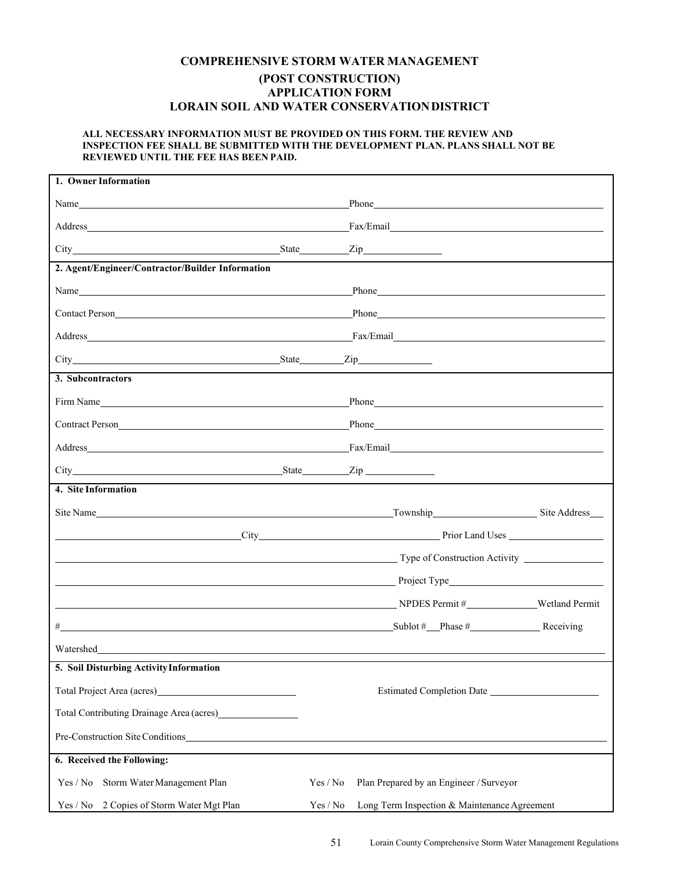#### **COMPREHENSIVE STORM WATER MANAGEMENT (POST CONSTRUCTION) APPLICATION FORM LORAIN SOIL AND WATER CONSERVATION DISTRICT**

#### **ALL NECESSARY INFORMATION MUST BE PROVIDED ON THIS FORM. THE REVIEW AND INSPECTION FEE SHALL BE SUBMITTED WITH THE DEVELOPMENT PLAN. PLANS SHALL NOT BE REVIEWED UNTIL THE FEE HAS BEEN PAID.**

| 1. Owner Information                                                                                                                                                                                                                 |          |                                                                                                                                                                                                                                |  |
|--------------------------------------------------------------------------------------------------------------------------------------------------------------------------------------------------------------------------------------|----------|--------------------------------------------------------------------------------------------------------------------------------------------------------------------------------------------------------------------------------|--|
| Name                                                                                                                                                                                                                                 |          | Phone has a series of the series of the series of the series of the series of the series of the series of the series of the series of the series of the series of the series of the series of the series of the series of the  |  |
|                                                                                                                                                                                                                                      |          |                                                                                                                                                                                                                                |  |
|                                                                                                                                                                                                                                      |          |                                                                                                                                                                                                                                |  |
| 2. Agent/Engineer/Contractor/Builder Information                                                                                                                                                                                     |          |                                                                                                                                                                                                                                |  |
| Name <b>Solution Contract Contract Contract Contract Contract Contract Contract Contract Contract Contract Contract Contract Contract Contract Contract Contract Contract Contract Contract Contract Contract Contract Contract </b> |          |                                                                                                                                                                                                                                |  |
| Contact Person<br><u>Contact Person</u>                                                                                                                                                                                              |          | Phone Phone                                                                                                                                                                                                                    |  |
|                                                                                                                                                                                                                                      |          |                                                                                                                                                                                                                                |  |
|                                                                                                                                                                                                                                      |          |                                                                                                                                                                                                                                |  |
| 3. Subcontractors                                                                                                                                                                                                                    |          |                                                                                                                                                                                                                                |  |
| Firm Name                                                                                                                                                                                                                            |          | Phone has a series of the series of the series of the series of the series of the series of the series of the series of the series of the series of the series of the series of the series of the series of the series of the  |  |
| Contract Person<br><u>Contract Person</u>                                                                                                                                                                                            |          | Phone <b>Manufacture</b> Phone <b>Manufacture</b> Phone <b>Phone</b>                                                                                                                                                           |  |
| Address Fax/Email Fax/Email Fax/Email Fax/Email Fax/Email Fax/Email Fax/Email Fax/Email Fax/Email Fax/Email Fax/Email Fax/Email Fax/Email Fax/Email Fax/Email Fax/Email Fax/Email Fax/Email Fax/Email Fax/Email Fax/Email Fax/       |          |                                                                                                                                                                                                                                |  |
|                                                                                                                                                                                                                                      |          |                                                                                                                                                                                                                                |  |
| 4. Site Information                                                                                                                                                                                                                  |          |                                                                                                                                                                                                                                |  |
|                                                                                                                                                                                                                                      |          |                                                                                                                                                                                                                                |  |
| <u>City Prior Land Uses</u> Prior Land Uses Prior Land Uses Prior Land Uses Prior Land Uses Prior Land Uses Prior Land Uses Prior Land Uses Prior Land Uses Prior Land Uses Prior Land Uses Prior Land Uses Prior Land Uses Prior L  |          |                                                                                                                                                                                                                                |  |
|                                                                                                                                                                                                                                      |          |                                                                                                                                                                                                                                |  |
|                                                                                                                                                                                                                                      |          | Project Type Project Type Project Type Project Type Project Type Project Type Project Type Project Type Project Type Project Type Project Type Project Type Project Type Project Type Project Type Project Type Project Type P |  |
|                                                                                                                                                                                                                                      |          | NPDES Permit # Wetland Permit                                                                                                                                                                                                  |  |
| $\text{Sublot } # \_\text{Phase } # \_\text{Phase} \_\text{Reciving}$<br>#                                                                                                                                                           |          |                                                                                                                                                                                                                                |  |
|                                                                                                                                                                                                                                      |          |                                                                                                                                                                                                                                |  |
| 5. Soil Disturbing Activity Information                                                                                                                                                                                              |          |                                                                                                                                                                                                                                |  |
| Total Project Area (acres)<br><u>International</u>                                                                                                                                                                                   |          |                                                                                                                                                                                                                                |  |
| Total Contributing Drainage Area (acres)__________________                                                                                                                                                                           |          |                                                                                                                                                                                                                                |  |
| Pre-Construction Site Conditions                                                                                                                                                                                                     |          |                                                                                                                                                                                                                                |  |
| 6. Received the Following:                                                                                                                                                                                                           |          |                                                                                                                                                                                                                                |  |
| Yes / No<br>Storm Water Management Plan                                                                                                                                                                                              | Yes / No | Plan Prepared by an Engineer / Surveyor                                                                                                                                                                                        |  |
| Yes / No 2 Copies of Storm Water Mgt Plan                                                                                                                                                                                            | Yes / No | Long Term Inspection & Maintenance Agreement                                                                                                                                                                                   |  |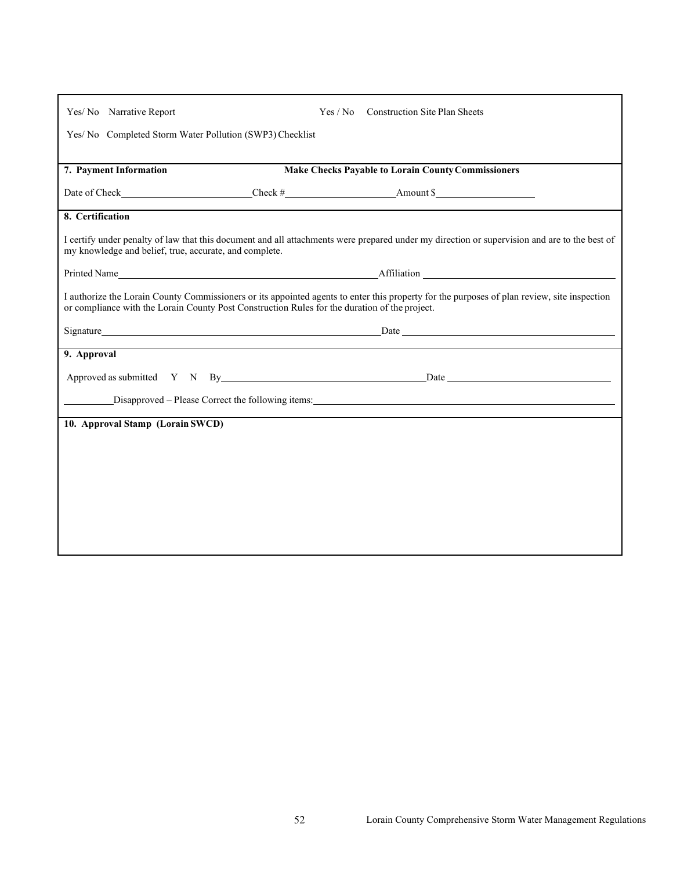| Yes/No Narrative Report                                                                                                                                                                                                                      |  | Yes / No Construction Site Plan Sheets                                                                                                       |  |  |  |
|----------------------------------------------------------------------------------------------------------------------------------------------------------------------------------------------------------------------------------------------|--|----------------------------------------------------------------------------------------------------------------------------------------------|--|--|--|
| Yes/ No Completed Storm Water Pollution (SWP3) Checklist                                                                                                                                                                                     |  |                                                                                                                                              |  |  |  |
|                                                                                                                                                                                                                                              |  |                                                                                                                                              |  |  |  |
| 7. Payment Information                                                                                                                                                                                                                       |  | <b>Make Checks Payable to Lorain County Commissioners</b>                                                                                    |  |  |  |
|                                                                                                                                                                                                                                              |  | Date of Check Check Electric Check # Amount \$                                                                                               |  |  |  |
| 8. Certification                                                                                                                                                                                                                             |  |                                                                                                                                              |  |  |  |
| my knowledge and belief, true, accurate, and complete.                                                                                                                                                                                       |  | I certify under penalty of law that this document and all attachments were prepared under my direction or supervision and are to the best of |  |  |  |
|                                                                                                                                                                                                                                              |  |                                                                                                                                              |  |  |  |
| I authorize the Lorain County Commissioners or its appointed agents to enter this property for the purposes of plan review, site inspection<br>or compliance with the Lorain County Post Construction Rules for the duration of the project. |  |                                                                                                                                              |  |  |  |
| Signature experience and the state of the state of the state of the state of the state of the state of the state of the state of the state of the state of the state of the state of the state of the state of the state of th               |  |                                                                                                                                              |  |  |  |
| 9. Approval                                                                                                                                                                                                                                  |  |                                                                                                                                              |  |  |  |
|                                                                                                                                                                                                                                              |  | Approved as submitted Y N By Date Date Date                                                                                                  |  |  |  |
| Disapproved – Please Correct the following items:                                                                                                                                                                                            |  |                                                                                                                                              |  |  |  |
| 10. Approval Stamp (Lorain SWCD)                                                                                                                                                                                                             |  |                                                                                                                                              |  |  |  |
|                                                                                                                                                                                                                                              |  |                                                                                                                                              |  |  |  |
|                                                                                                                                                                                                                                              |  |                                                                                                                                              |  |  |  |
|                                                                                                                                                                                                                                              |  |                                                                                                                                              |  |  |  |
|                                                                                                                                                                                                                                              |  |                                                                                                                                              |  |  |  |
|                                                                                                                                                                                                                                              |  |                                                                                                                                              |  |  |  |
|                                                                                                                                                                                                                                              |  |                                                                                                                                              |  |  |  |